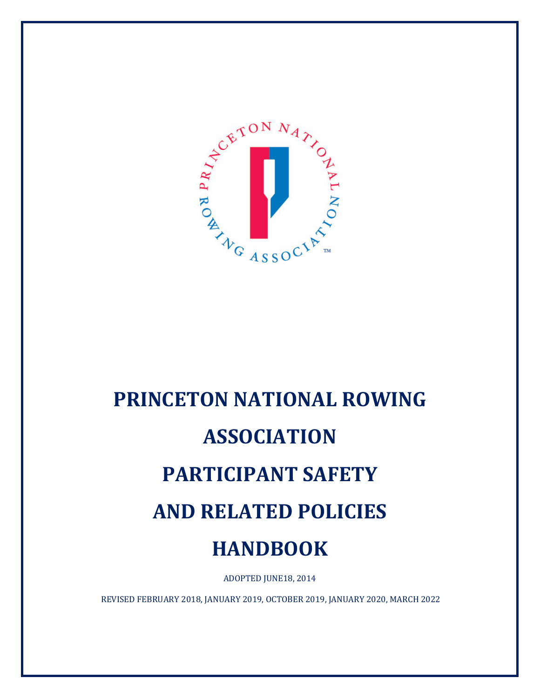

# **PRINCETON NATIONAL ROWING ASSOCIATION PARTICIPANT SAFETY AND RELATED POLICIES HANDBOOK**

ADOPTED JUNE18, 2014

REVISED FEBRUARY 2018, JANUARY 2019, OCTOBER 2019, JANUARY 2020, MARCH 2022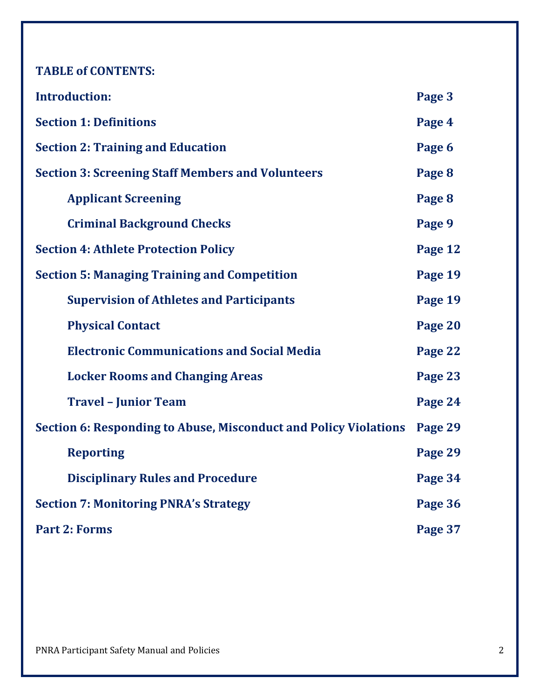**TABLE of CONTENTS:**

| <b>Introduction:</b>                                                    | Page 3  |
|-------------------------------------------------------------------------|---------|
| <b>Section 1: Definitions</b>                                           | Page 4  |
| <b>Section 2: Training and Education</b>                                | Page 6  |
| <b>Section 3: Screening Staff Members and Volunteers</b>                | Page 8  |
| <b>Applicant Screening</b>                                              | Page 8  |
| <b>Criminal Background Checks</b>                                       | Page 9  |
| <b>Section 4: Athlete Protection Policy</b>                             | Page 12 |
| <b>Section 5: Managing Training and Competition</b>                     | Page 19 |
| <b>Supervision of Athletes and Participants</b>                         | Page 19 |
| <b>Physical Contact</b>                                                 | Page 20 |
| <b>Electronic Communications and Social Media</b>                       | Page 22 |
| <b>Locker Rooms and Changing Areas</b>                                  | Page 23 |
| <b>Travel - Junior Team</b>                                             | Page 24 |
| <b>Section 6: Responding to Abuse, Misconduct and Policy Violations</b> | Page 29 |
| <b>Reporting</b>                                                        | Page 29 |
| <b>Disciplinary Rules and Procedure</b>                                 | Page 34 |
| <b>Section 7: Monitoring PNRA's Strategy</b>                            | Page 36 |
| <b>Part 2: Forms</b>                                                    | Page 37 |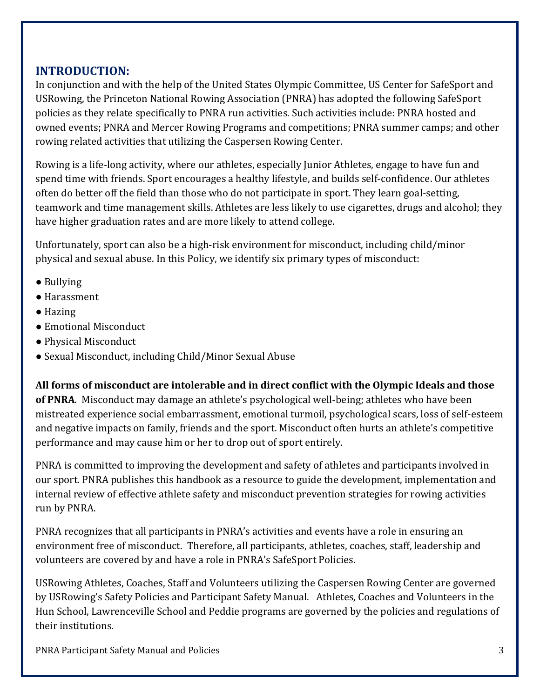# **INTRODUCTION:**

In conjunction and with the help of the United States Olympic Committee, US Center for SafeSport and USRowing, the Princeton National Rowing Association (PNRA) has adopted the following SafeSport policies as they relate specifically to PNRA run activities. Such activities include: PNRA hosted and owned events; PNRA and Mercer Rowing Programs and competitions; PNRA summer camps; and other rowing related activities that utilizing the Caspersen Rowing Center.

Rowing is a life-long activity, where our athletes, especially Junior Athletes, engage to have fun and spend time with friends. Sport encourages a healthy lifestyle, and builds self-confidence. Our athletes often do better off the field than those who do not participate in sport. They learn goal-setting, teamwork and time management skills. Athletes are less likely to use cigarettes, drugs and alcohol; they have higher graduation rates and are more likely to attend college.

Unfortunately, sport can also be a high-risk environment for misconduct, including child/minor physical and sexual abuse. In this Policy, we identify six primary types of misconduct:

- Bullying
- Harassment
- Hazing
- Emotional Misconduct
- Physical Misconduct
- Sexual Misconduct, including Child/Minor Sexual Abuse

**All forms of misconduct are intolerable and in direct conflict with the Olympic Ideals and those of PNRA**. Misconduct may damage an athlete's psychological well-being; athletes who have been mistreated experience social embarrassment, emotional turmoil, psychological scars, loss of self-esteem and negative impacts on family, friends and the sport. Misconduct often hurts an athlete's competitive performance and may cause him or her to drop out of sport entirely.

PNRA is committed to improving the development and safety of athletes and participants involved in our sport. PNRA publishes this handbook as a resource to guide the development, implementation and internal review of effective athlete safety and misconduct prevention strategies for rowing activities run by PNRA.

PNRA recognizes that all participants in PNRA's activities and events have a role in ensuring an environment free of misconduct. Therefore, all participants, athletes, coaches, staff, leadership and volunteers are covered by and have a role in PNRA's SafeSport Policies.

USRowing Athletes, Coaches, Staff and Volunteers utilizing the Caspersen Rowing Center are governed by USRowing's Safety Policies and Participant Safety Manual. Athletes, Coaches and Volunteers in the Hun School, Lawrenceville School and Peddie programs are governed by the policies and regulations of their institutions.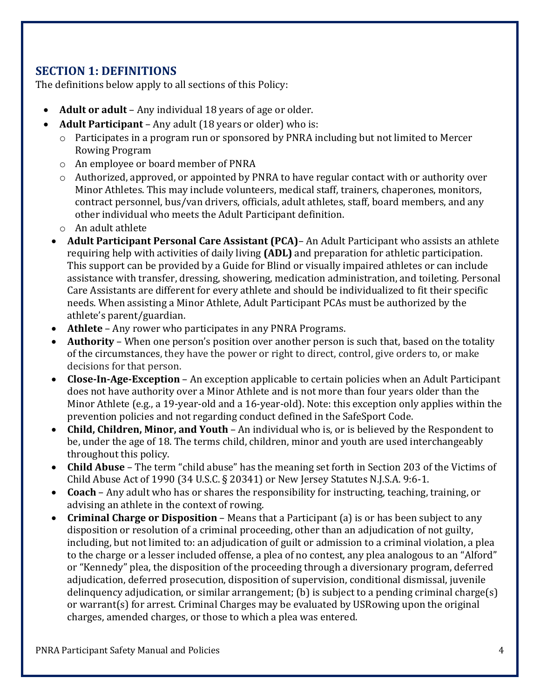# **SECTION 1: DEFINITIONS**

The definitions below apply to all sections of this Policy:

- **Adult or adult** Any individual 18 years of age or older.
- **Adult Participant** Any adult (18 years or older) who is:
	- o Participates in a program run or sponsored by PNRA including but not limited to Mercer Rowing Program
	- o An employee or board member of PNRA
	- o Authorized, approved, or appointed by PNRA to have regular contact with or authority over Minor Athletes. This may include volunteers, medical staff, trainers, chaperones, monitors, contract personnel, bus/van drivers, officials, adult athletes, staff, board members, and any other individual who meets the Adult Participant definition.
	- o An adult athlete
	- **Adult Participant Personal Care Assistant (PCA)** An Adult Participant who assists an athlete requiring help with activities of daily living **(ADL)** and preparation for athletic participation. This support can be provided by a Guide for Blind or visually impaired athletes or can include assistance with transfer, dressing, showering, medication administration, and toileting. Personal Care Assistants are different for every athlete and should be individualized to fit their specific needs. When assisting a Minor Athlete, Adult Participant PCAs must be authorized by the athlete's parent/guardian.
	- **Athlete** Any rower who participates in any PNRA Programs.
	- **Authority** When one person's position over another person is such that, based on the totality of the circumstances, they have the power or right to direct, control, give orders to, or make decisions for that person.
	- **Close‐In‐Age‐Exception** An exception applicable to certain policies when an Adult Participant does not have authority over a Minor Athlete and is not more than four years older than the Minor Athlete (e.g., a 19-year-old and a 16-year-old). Note: this exception only applies within the prevention policies and not regarding conduct defined in the SafeSport Code.
	- **Child, Children, Minor, and Youth** An individual who is, or is believed by the Respondent to be, under the age of 18. The terms child, children, minor and youth are used interchangeably throughout this policy.
	- **Child Abuse** The term "child abuse" has the meaning set forth in Section 203 of the Victims of Child Abuse Act of 1990 (34 U.S.C. § 20341) or New Jersey Statutes N.J.S.A. 9:6-1.
	- **Coach** Any adult who has or shares the responsibility for instructing, teaching, training, or advising an athlete in the context of rowing.
	- **Criminal Charge or Disposition** Means that a Participant (a) is or has been subject to any disposition or resolution of a criminal proceeding, other than an adjudication of not guilty, including, but not limited to: an adjudication of guilt or admission to a criminal violation, a plea to the charge or a lesser included offense, a plea of no contest, any plea analogous to an "Alford" or "Kennedy" plea, the disposition of the proceeding through a diversionary program, deferred adjudication, deferred prosecution, disposition of supervision, conditional dismissal, juvenile delinquency adjudication, or similar arrangement; (b) is subject to a pending criminal charge(s) or warrant(s) for arrest. Criminal Charges may be evaluated by USRowing upon the original charges, amended charges, or those to which a plea was entered.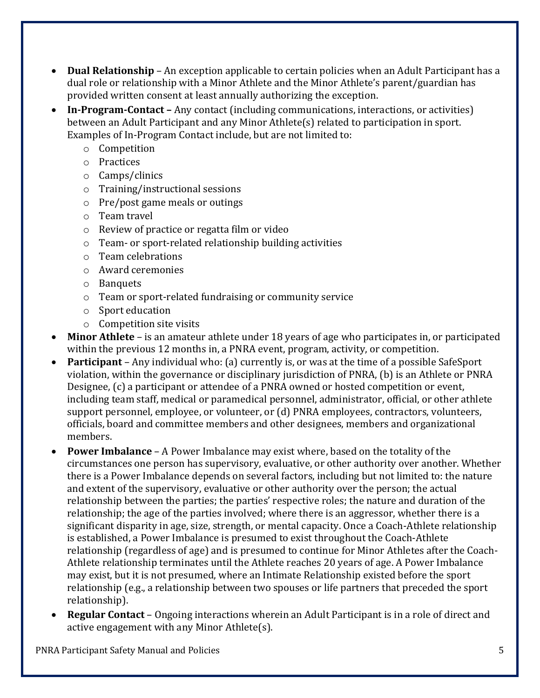- **Dual Relationship** An exception applicable to certain policies when an Adult Participant has a dual role or relationship with a Minor Athlete and the Minor Athlete's parent/guardian has provided written consent at least annually authorizing the exception.
- **In‐Program‐Contact –** Any contact (including communications, interactions, or activities) between an Adult Participant and any Minor Athlete(s) related to participation in sport. Examples of In-Program Contact include, but are not limited to:
	- o Competition
	- o Practices
	- o Camps/clinics
	- o Training/instructional sessions
	- o Pre/post game meals or outings
	- o Team travel
	- o Review of practice or regatta film or video
	- o Team- or sport-related relationship building activities
	- o Team celebrations
	- o Award ceremonies
	- o Banquets
	- o Team or sport-related fundraising or community service
	- o Sport education
	- o Competition site visits
- **Minor Athlete** is an amateur athlete under 18 years of age who participates in, or participated within the previous 12 months in, a PNRA event, program, activity, or competition.
- **Participant** Any individual who: (a) currently is, or was at the time of a possible SafeSport violation, within the governance or disciplinary jurisdiction of PNRA, (b) is an Athlete or PNRA Designee, (c) a participant or attendee of a PNRA owned or hosted competition or event, including team staff, medical or paramedical personnel, administrator, official, or other athlete support personnel, employee, or volunteer, or (d) PNRA employees, contractors, volunteers, officials, board and committee members and other designees, members and organizational members.
- **Power Imbalance** A Power Imbalance may exist where, based on the totality of the circumstances one person has supervisory, evaluative, or other authority over another. Whether there is a Power Imbalance depends on several factors, including but not limited to: the nature and extent of the supervisory, evaluative or other authority over the person; the actual relationship between the parties; the parties' respective roles; the nature and duration of the relationship; the age of the parties involved; where there is an aggressor, whether there is a significant disparity in age, size, strength, or mental capacity. Once a Coach-Athlete relationship is established, a Power Imbalance is presumed to exist throughout the Coach-Athlete relationship (regardless of age) and is presumed to continue for Minor Athletes after the Coach-Athlete relationship terminates until the Athlete reaches 20 years of age. A Power Imbalance may exist, but it is not presumed, where an Intimate Relationship existed before the sport relationship (e.g., a relationship between two spouses or life partners that preceded the sport relationship).
- **Regular Contact** Ongoing interactions wherein an Adult Participant is in a role of direct and active engagement with any Minor Athlete(s).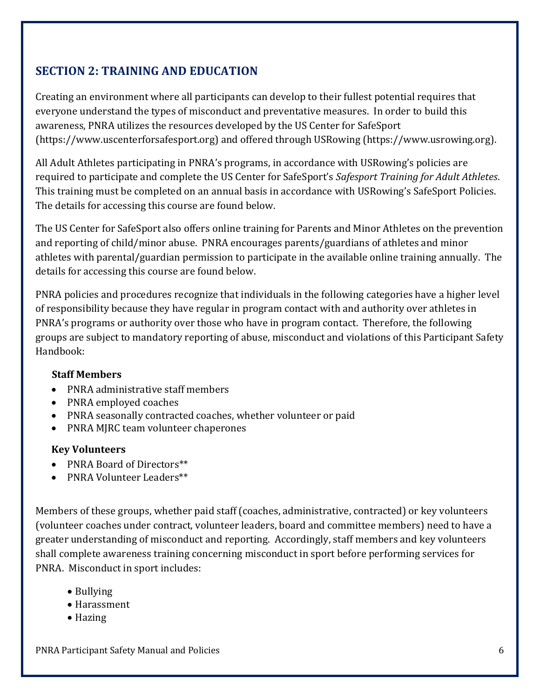# **SECTION 2: TRAINING AND EDUCATION**

Creating an environment where all participants can develop to their fullest potential requires that everyone understand the types of misconduct and preventative measures. In order to build this awareness, PNRA utilizes the resources developed by the US Center for SafeSport (https://www.uscenterforsafesport.org) and offered through USRowing (https://www.usrowing.org).

All Adult Athletes participating in PNRA's programs, in accordance with USRowing's policies are required to participate and complete the US Center for SafeSport's *Safesport Training for Adult Athletes*. This training must be completed on an annual basis in accordance with USRowing's SafeSport Policies. The details for accessing this course are found below.

The US Center for SafeSport also offers online training for Parents and Minor Athletes on the prevention and reporting of child/minor abuse. PNRA encourages parents/guardians of athletes and minor athletes with parental/guardian permission to participate in the available online training annually. The details for accessing this course are found below.

PNRA policies and procedures recognize that individuals in the following categories have a higher level of responsibility because they have regular in program contact with and authority over athletes in PNRA's programs or authority over those who have in program contact. Therefore, the following groups are subject to mandatory reporting of abuse, misconduct and violations of this Participant Safety Handbook:

#### **Staff Members**

- PNRA administrative staff members
- PNRA employed coaches
- PNRA seasonally contracted coaches, whether volunteer or paid
- PNRA MJRC team volunteer chaperones

#### **Key Volunteers**

- PNRA Board of Directors\*\*
- PNRA Volunteer Leaders\*\*

Members of these groups, whether paid staff (coaches, administrative, contracted) or key volunteers (volunteer coaches under contract, volunteer leaders, board and committee members) need to have a greater understanding of misconduct and reporting. Accordingly, staff members and key volunteers shall complete awareness training concerning misconduct in sport before performing services for PNRA. Misconduct in sport includes:

- Bullying
- Harassment
- Hazing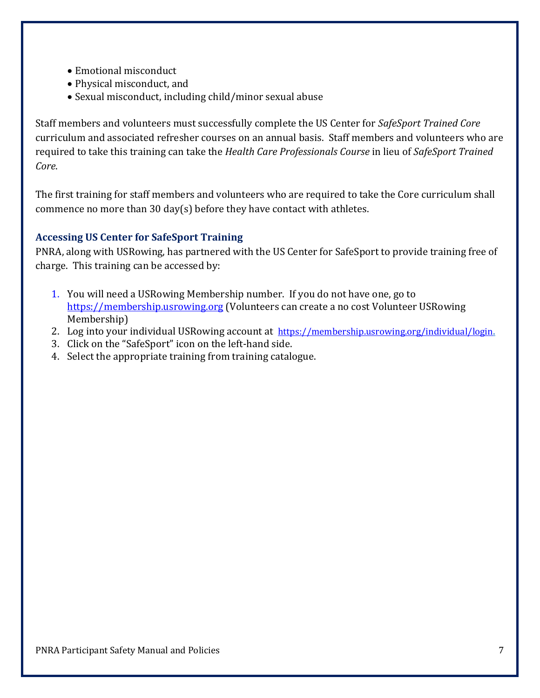- Emotional misconduct
- Physical misconduct, and
- Sexual misconduct, including child/minor sexual abuse

Staff members and volunteers must successfully complete the US Center for *SafeSport Trained Core* curriculum and associated refresher courses on an annual basis. Staff members and volunteers who are required to take this training can take the *Health Care Professionals Course* in lieu of *SafeSport Trained Core*.

The first training for staff members and volunteers who are required to take the Core curriculum shall commence no more than 30 day(s) before they have contact with athletes.

#### **Accessing US Center for SafeSport Training**

PNRA, along with USRowing, has partnered with the US Center for SafeSport to provide training free of charge. This training can be accessed by:

- 1. You will need a USRowing Membership number. If you do not have one, go to https://membership.usrowing.org (Volunteers can create a no cost Volunteer USRowing Membership)
- 2. Log into your individual USRowing account at https://membership.usrowing.org/individual/login.
- 3. Click on the "SafeSport" icon on the left-hand side.
- 4. Select the appropriate training from training catalogue.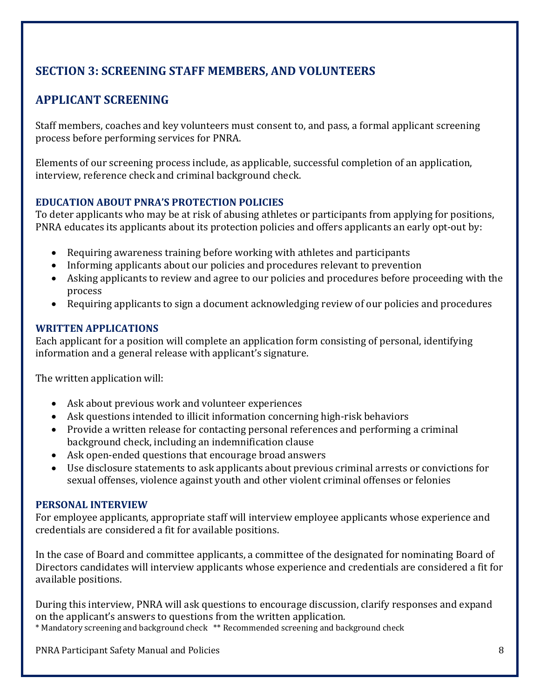# **SECTION 3: SCREENING STAFF MEMBERS, AND VOLUNTEERS**

# **APPLICANT SCREENING**

Staff members, coaches and key volunteers must consent to, and pass, a formal applicant screening process before performing services for PNRA.

Elements of our screening process include, as applicable, successful completion of an application, interview, reference check and criminal background check.

#### **EDUCATION ABOUT PNRA'S PROTECTION POLICIES**

To deter applicants who may be at risk of abusing athletes or participants from applying for positions, PNRA educates its applicants about its protection policies and offers applicants an early opt-out by:

- Requiring awareness training before working with athletes and participants
- Informing applicants about our policies and procedures relevant to prevention
- Asking applicants to review and agree to our policies and procedures before proceeding with the process
- Requiring applicants to sign a document acknowledging review of our policies and procedures

#### **WRITTEN APPLICATIONS**

Each applicant for a position will complete an application form consisting of personal, identifying information and a general release with applicant's signature.

The written application will:

- Ask about previous work and volunteer experiences
- Ask questions intended to illicit information concerning high-risk behaviors
- Provide a written release for contacting personal references and performing a criminal background check, including an indemnification clause
- Ask open-ended questions that encourage broad answers
- Use disclosure statements to ask applicants about previous criminal arrests or convictions for sexual offenses, violence against youth and other violent criminal offenses or felonies

#### **PERSONAL INTERVIEW**

For employee applicants, appropriate staff will interview employee applicants whose experience and credentials are considered a fit for available positions.

In the case of Board and committee applicants, a committee of the designated for nominating Board of Directors candidates will interview applicants whose experience and credentials are considered a fit for available positions.

During this interview, PNRA will ask questions to encourage discussion, clarify responses and expand on the applicant's answers to questions from the written application.

\* Mandatory screening and background check \*\* Recommended screening and background check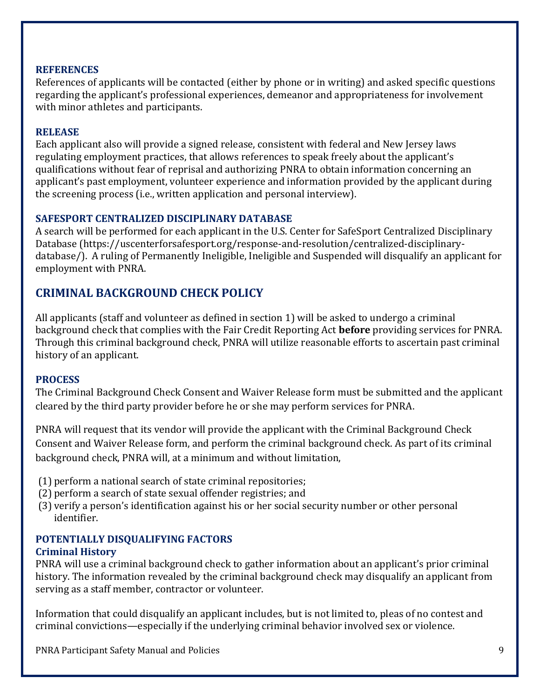#### **REFERENCES**

References of applicants will be contacted (either by phone or in writing) and asked specific questions regarding the applicant's professional experiences, demeanor and appropriateness for involvement with minor athletes and participants.

#### **RELEASE**

Each applicant also will provide a signed release, consistent with federal and New Jersey laws regulating employment practices, that allows references to speak freely about the applicant's qualifications without fear of reprisal and authorizing PNRA to obtain information concerning an applicant's past employment, volunteer experience and information provided by the applicant during the screening process (i.e., written application and personal interview).

#### **SAFESPORT CENTRALIZED DISCIPLINARY DATABASE**

A search will be performed for each applicant in the U.S. Center for SafeSport Centralized Disciplinary Database (https://uscenterforsafesport.org/response-and-resolution/centralized-disciplinarydatabase/). A ruling of Permanently Ineligible, Ineligible and Suspended will disqualify an applicant for employment with PNRA.

#### **CRIMINAL BACKGROUND CHECK POLICY**

All applicants (staff and volunteer as defined in section 1) will be asked to undergo a criminal background check that complies with the Fair Credit Reporting Act **before** providing services for PNRA. Through this criminal background check, PNRA will utilize reasonable efforts to ascertain past criminal history of an applicant.

#### **PROCESS**

The Criminal Background Check Consent and Waiver Release form must be submitted and the applicant cleared by the third party provider before he or she may perform services for PNRA.

PNRA will request that its vendor will provide the applicant with the Criminal Background Check Consent and Waiver Release form, and perform the criminal background check. As part of its criminal background check, PNRA will, at a minimum and without limitation,

- (1) perform a national search of state criminal repositories;
- (2) perform a search of state sexual offender registries; and
- (3) verify a person's identification against his or her social security number or other personal identifier.

# **POTENTIALLY DISQUALIFYING FACTORS**

#### **Criminal History**

PNRA will use a criminal background check to gather information about an applicant's prior criminal history. The information revealed by the criminal background check may disqualify an applicant from serving as a staff member, contractor or volunteer.

Information that could disqualify an applicant includes, but is not limited to, pleas of no contest and criminal convictions—especially if the underlying criminal behavior involved sex or violence.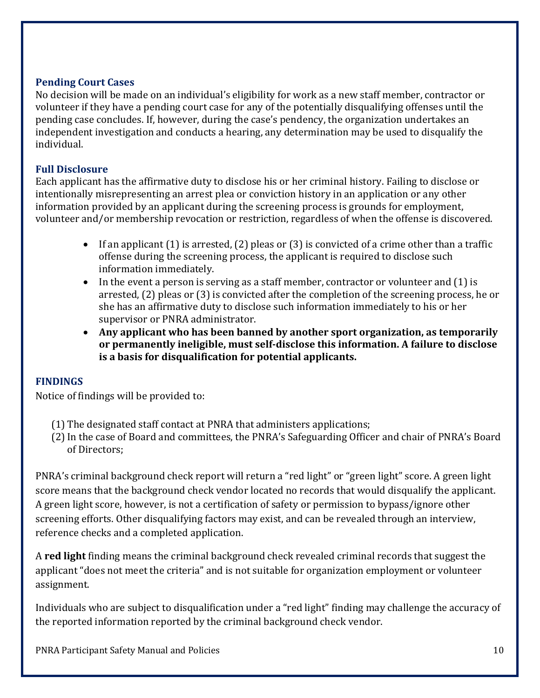#### **Pending Court Cases**

No decision will be made on an individual's eligibility for work as a new staff member, contractor or volunteer if they have a pending court case for any of the potentially disqualifying offenses until the pending case concludes. If, however, during the case's pendency, the organization undertakes an independent investigation and conducts a hearing, any determination may be used to disqualify the individual.

#### **Full Disclosure**

Each applicant has the affirmative duty to disclose his or her criminal history. Failing to disclose or intentionally misrepresenting an arrest plea or conviction history in an application or any other information provided by an applicant during the screening process is grounds for employment, volunteer and/or membership revocation or restriction, regardless of when the offense is discovered.

- If an applicant  $(1)$  is arrested,  $(2)$  pleas or  $(3)$  is convicted of a crime other than a traffic offense during the screening process, the applicant is required to disclose such information immediately.
- $\bullet$  In the event a person is serving as a staff member, contractor or volunteer and (1) is arrested, (2) pleas or (3) is convicted after the completion of the screening process, he or she has an affirmative duty to disclose such information immediately to his or her supervisor or PNRA administrator.
- **Any applicant who has been banned by another sport organization, as temporarily or permanently ineligible, must self‐disclose this information. A failure to disclose is a basis for disqualification for potential applicants.**

#### **FINDINGS**

Notice of findings will be provided to:

- (1) The designated staff contact at PNRA that administers applications;
- (2)In the case of Board and committees, the PNRA's Safeguarding Officer and chair of PNRA's Board of Directors;

PNRA's criminal background check report will return a "red light" or "green light" score. A green light score means that the background check vendor located no records that would disqualify the applicant. A green light score, however, is not a certification of safety or permission to bypass/ignore other screening efforts. Other disqualifying factors may exist, and can be revealed through an interview, reference checks and a completed application.

A **red light** finding means the criminal background check revealed criminal records that suggest the applicant "does not meet the criteria" and is not suitable for organization employment or volunteer assignment.

Individuals who are subject to disqualification under a "red light" finding may challenge the accuracy of the reported information reported by the criminal background check vendor.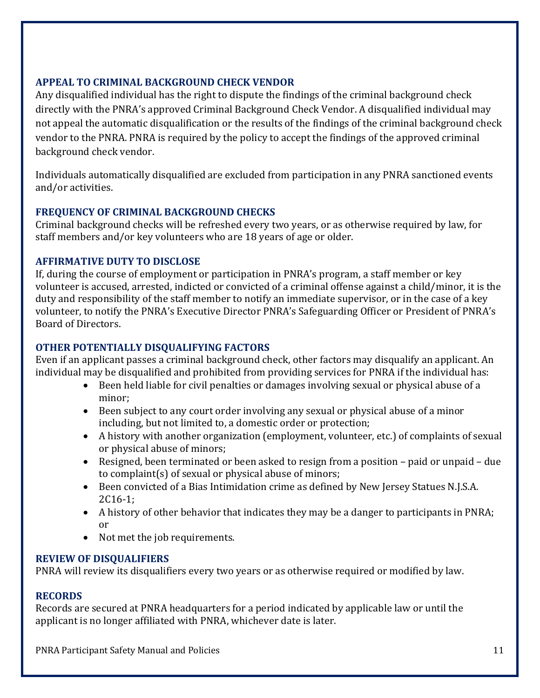#### **APPEAL TO CRIMINAL BACKGROUND CHECK VENDOR**

Any disqualified individual has the right to dispute the findings of the criminal background check directly with the PNRA's approved Criminal Background Check Vendor. A disqualified individual may not appeal the automatic disqualification or the results of the findings of the criminal background check vendor to the PNRA. PNRA is required by the policy to accept the findings of the approved criminal background check vendor.

Individuals automatically disqualified are excluded from participation in any PNRA sanctioned events and/or activities.

#### **FREQUENCY OF CRIMINAL BACKGROUND CHECKS**

Criminal background checks will be refreshed every two years, or as otherwise required by law, for staff members and/or key volunteers who are 18 years of age or older.

#### **AFFIRMATIVE DUTY TO DISCLOSE**

If, during the course of employment or participation in PNRA's program, a staff member or key volunteer is accused, arrested, indicted or convicted of a criminal offense against a child/minor, it is the duty and responsibility of the staff member to notify an immediate supervisor, or in the case of a key volunteer, to notify the PNRA's Executive Director PNRA's Safeguarding Officer or President of PNRA's Board of Directors.

#### **OTHER POTENTIALLY DISQUALIFYING FACTORS**

Even if an applicant passes a criminal background check, other factors may disqualify an applicant. An individual may be disqualified and prohibited from providing services for PNRA if the individual has:

- Been held liable for civil penalties or damages involving sexual or physical abuse of a minor;
- Been subject to any court order involving any sexual or physical abuse of a minor including, but not limited to, a domestic order or protection;
- A history with another organization (employment, volunteer, etc.) of complaints of sexual or physical abuse of minors;
- Resigned, been terminated or been asked to resign from a position paid or unpaid due to complaint(s) of sexual or physical abuse of minors;
- Been convicted of a Bias Intimidation crime as defined by New Jersey Statues N.J.S.A. 2C16-1;
- A history of other behavior that indicates they may be a danger to participants in PNRA; or
- Not met the job requirements.

#### **REVIEW OF DISQUALIFIERS**

PNRA will review its disqualifiers every two years or as otherwise required or modified by law.

#### **RECORDS**

Records are secured at PNRA headquarters for a period indicated by applicable law or until the applicant is no longer affiliated with PNRA, whichever date is later.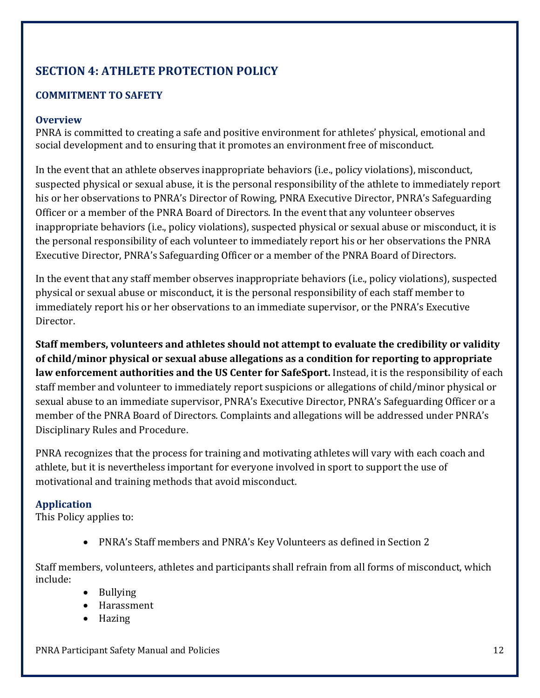# **SECTION 4: ATHLETE PROTECTION POLICY**

# **COMMITMENT TO SAFETY**

#### **Overview**

PNRA is committed to creating a safe and positive environment for athletes' physical, emotional and social development and to ensuring that it promotes an environment free of misconduct.

In the event that an athlete observes inappropriate behaviors (i.e., policy violations), misconduct, suspected physical or sexual abuse, it is the personal responsibility of the athlete to immediately report his or her observations to PNRA's Director of Rowing, PNRA Executive Director, PNRA's Safeguarding Officer or a member of the PNRA Board of Directors. In the event that any volunteer observes inappropriate behaviors (i.e., policy violations), suspected physical or sexual abuse or misconduct, it is the personal responsibility of each volunteer to immediately report his or her observations the PNRA Executive Director, PNRA's Safeguarding Officer or a member of the PNRA Board of Directors.

In the event that any staff member observes inappropriate behaviors (i.e., policy violations), suspected physical or sexual abuse or misconduct, it is the personal responsibility of each staff member to immediately report his or her observations to an immediate supervisor, or the PNRA's Executive Director.

**Staff members, volunteers and athletes should not attempt to evaluate the credibility or validity of child/minor physical or sexual abuse allegations as a condition for reporting to appropriate law enforcement authorities and the US Center for SafeSport.** Instead, it is the responsibility of each staff member and volunteer to immediately report suspicions or allegations of child/minor physical or sexual abuse to an immediate supervisor, PNRA's Executive Director, PNRA's Safeguarding Officer or a member of the PNRA Board of Directors. Complaints and allegations will be addressed under PNRA's Disciplinary Rules and Procedure.

PNRA recognizes that the process for training and motivating athletes will vary with each coach and athlete, but it is nevertheless important for everyone involved in sport to support the use of motivational and training methods that avoid misconduct.

# **Application**

This Policy applies to:

PNRA's Staff members and PNRA's Key Volunteers as defined in Section 2

Staff members, volunteers, athletes and participants shall refrain from all forms of misconduct, which include:

- Bullying
- Harassment
- Hazing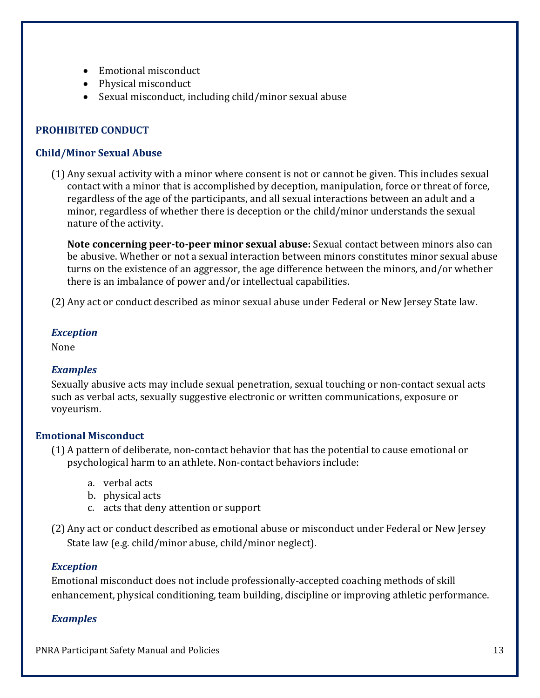- Emotional misconduct
- Physical misconduct
- Sexual misconduct, including child/minor sexual abuse

#### **PROHIBITED CONDUCT**

#### **Child/Minor Sexual Abuse**

(1) Any sexual activity with a minor where consent is not or cannot be given. This includes sexual contact with a minor that is accomplished by deception, manipulation, force or threat of force, regardless of the age of the participants, and all sexual interactions between an adult and a minor, regardless of whether there is deception or the child/minor understands the sexual nature of the activity.

**Note concerning peer‐to‐peer minor sexual abuse:** Sexual contact between minors also can be abusive. Whether or not a sexual interaction between minors constitutes minor sexual abuse turns on the existence of an aggressor, the age difference between the minors, and/or whether there is an imbalance of power and/or intellectual capabilities.

(2) Any act or conduct described as minor sexual abuse under Federal or New Jersey State law.

#### *Exception*

None

#### *Examples*

Sexually abusive acts may include sexual penetration, sexual touching or non-contact sexual acts such as verbal acts, sexually suggestive electronic or written communications, exposure or voyeurism.

#### **Emotional Misconduct**

- (1) A pattern of deliberate, non-contact behavior that has the potential to cause emotional or psychological harm to an athlete. Non-contact behaviors include:
	- a. verbal acts
	- b. physical acts
	- c. acts that deny attention or support
- (2) Any act or conduct described as emotional abuse or misconduct under Federal or New Jersey State law (e.g. child/minor abuse, child/minor neglect).

#### *Exception*

Emotional misconduct does not include professionally-accepted coaching methods of skill enhancement, physical conditioning, team building, discipline or improving athletic performance.

#### *Examples*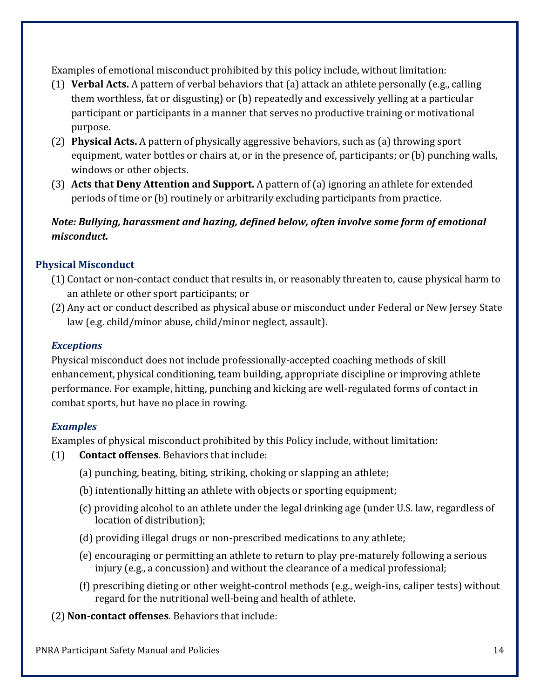Examples of emotional misconduct prohibited by this policy include, without limitation:

- (1) **Verbal Acts.** A pattern of verbal behaviors that (a) attack an athlete personally (e.g., calling them worthless, fat or disgusting) or (b) repeatedly and excessively yelling at a particular participant or participants in a manner that serves no productive training or motivational purpose.
- (2) **Physical Acts.** A pattern of physically aggressive behaviors, such as (a) throwing sport equipment, water bottles or chairs at, or in the presence of, participants; or (b) punching walls, windows or other objects.
- (3) **Acts that Deny Attention and Support.** A pattern of (a) ignoring an athlete for extended periods of time or (b) routinely or arbitrarily excluding participants from practice.

# *Note: Bullying, harassment and hazing, defined below, often involve some form of emotional misconduct.*

#### **Physical Misconduct**

- (1) Contact or non-contact conduct that results in, or reasonably threaten to, cause physical harm to an athlete or other sport participants; or
- (2) Any act or conduct described as physical abuse or misconduct under Federal or New Jersey State law (e.g. child/minor abuse, child/minor neglect, assault).

#### *Exceptions*

Physical misconduct does not include professionally-accepted coaching methods of skill enhancement, physical conditioning, team building, appropriate discipline or improving athlete performance. For example, hitting, punching and kicking are well-regulated forms of contact in combat sports, but have no place in rowing.

#### *Examples*

Examples of physical misconduct prohibited by this Policy include, without limitation:

- (1) **Contact offenses**. Behaviors that include:
	- (a) punching, beating, biting, striking, choking or slapping an athlete;
	- (b) intentionally hitting an athlete with objects or sporting equipment;
	- (c) providing alcohol to an athlete under the legal drinking age (under U.S. law, regardless of location of distribution);
	- (d) providing illegal drugs or non-prescribed medications to any athlete;
	- (e) encouraging or permitting an athlete to return to play pre-maturely following a serious injury (e.g., a concussion) and without the clearance of a medical professional;
	- (f) prescribing dieting or other weight-control methods (e.g., weigh-ins, caliper tests) without regard for the nutritional well-being and health of athlete.

(2) **Non‐contact offenses**. Behaviors that include: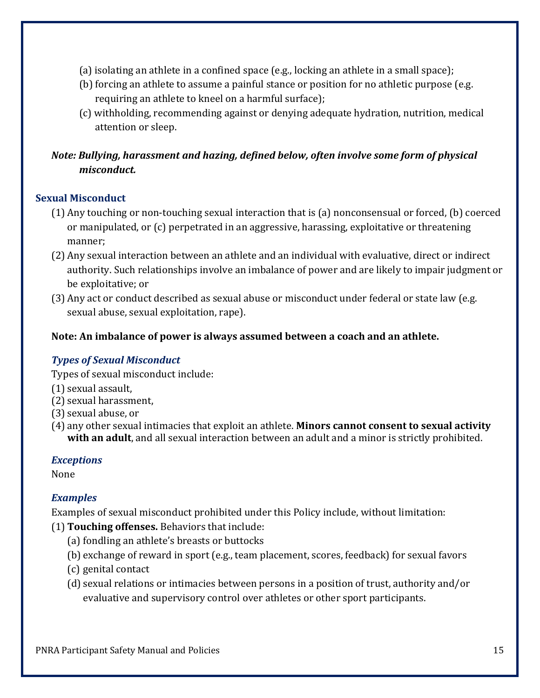- (a) isolating an athlete in a confined space (e.g., locking an athlete in a small space);
- (b) forcing an athlete to assume a painful stance or position for no athletic purpose (e.g. requiring an athlete to kneel on a harmful surface);
- (c) withholding, recommending against or denying adequate hydration, nutrition, medical attention or sleep.

# *Note: Bullying, harassment and hazing, defined below, often involve some form of physical misconduct.*

#### **Sexual Misconduct**

- (1) Any touching or non-touching sexual interaction that is (a) nonconsensual or forced, (b) coerced or manipulated, or (c) perpetrated in an aggressive, harassing, exploitative or threatening manner;
- (2) Any sexual interaction between an athlete and an individual with evaluative, direct or indirect authority. Such relationships involve an imbalance of power and are likely to impair judgment or be exploitative; or
- (3) Any act or conduct described as sexual abuse or misconduct under federal or state law (e.g. sexual abuse, sexual exploitation, rape).

#### **Note: An imbalance of power is always assumed between a coach and an athlete.**

#### *Types of Sexual Misconduct*

Types of sexual misconduct include:

- (1) sexual assault,
- (2) sexual harassment,
- (3) sexual abuse, or
- (4) any other sexual intimacies that exploit an athlete. **Minors cannot consent to sexual activity with an adult**, and all sexual interaction between an adult and a minor is strictly prohibited.

#### *Exceptions*

None

#### *Examples*

Examples of sexual misconduct prohibited under this Policy include, without limitation:

- (1) **Touching offenses.** Behaviors that include:
	- (a) fondling an athlete's breasts or buttocks
	- (b) exchange of reward in sport (e.g., team placement, scores, feedback) for sexual favors
	- (c) genital contact
	- (d) sexual relations or intimacies between persons in a position of trust, authority and/or evaluative and supervisory control over athletes or other sport participants.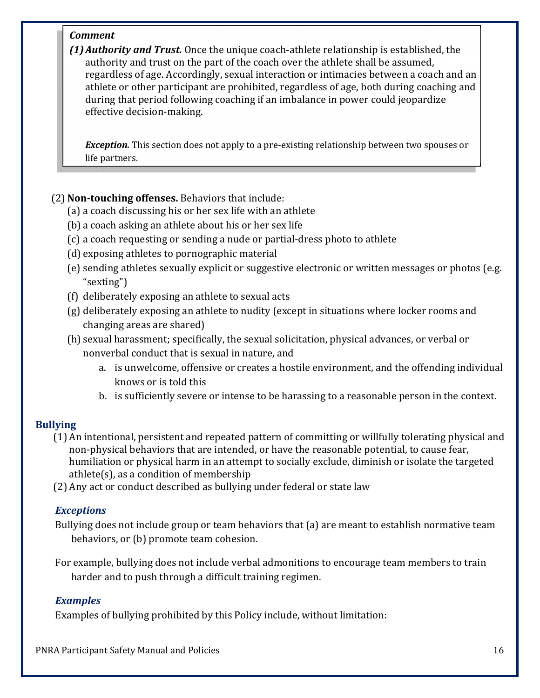#### *Comment*

*(1) Authority and Trust.* Once the unique coach-athlete relationship is established, the authority and trust on the part of the coach over the athlete shall be assumed, regardless of age. Accordingly, sexual interaction or intimacies between a coach and an athlete or other participant are prohibited, regardless of age, both during coaching and during that period following coaching if an imbalance in power could jeopardize effective decision-making.

*Exception.* This section does not apply to a pre-existing relationship between two spouses or life partners.

#### (2) **Non‐touching offenses.** Behaviors that include:

- (a) a coach discussing his or her sex life with an athlete
- (b) a coach asking an athlete about his or her sex life
- (c) a coach requesting or sending a nude or partial-dress photo to athlete
- (d) exposing athletes to pornographic material
- (e) sending athletes sexually explicit or suggestive electronic or written messages or photos (e.g. "sexting")
- (f) deliberately exposing an athlete to sexual acts
- (g) deliberately exposing an athlete to nudity (except in situations where locker rooms and changing areas are shared)
- (h) sexual harassment; specifically, the sexual solicitation, physical advances, or verbal or nonverbal conduct that is sexual in nature, and
	- a. is unwelcome, offensive or creates a hostile environment, and the offending individual knows or is told this
	- b. is sufficiently severe or intense to be harassing to a reasonable person in the context.

#### **Bullying**

- (1) An intentional, persistent and repeated pattern of committing or willfully tolerating physical and non-physical behaviors that are intended, or have the reasonable potential, to cause fear, humiliation or physical harm in an attempt to socially exclude, diminish or isolate the targeted athlete(s), as a condition of membership
- (2) Any act or conduct described as bullying under federal or state law

#### *Exceptions*

Bullying does not include group or team behaviors that (a) are meant to establish normative team behaviors, or (b) promote team cohesion.

For example, bullying does not include verbal admonitions to encourage team members to train harder and to push through a difficult training regimen.

#### *Examples*

Examples of bullying prohibited by this Policy include, without limitation: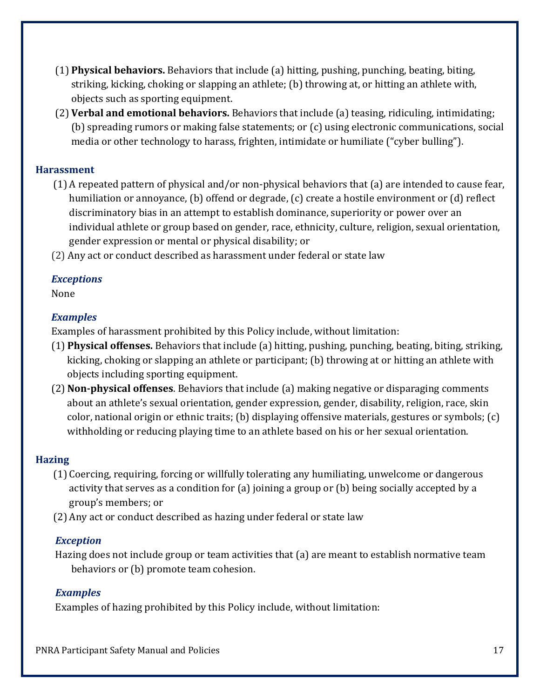- (1) **Physical behaviors.** Behaviors that include (a) hitting, pushing, punching, beating, biting, striking, kicking, choking or slapping an athlete; (b) throwing at, or hitting an athlete with, objects such as sporting equipment.
- (2) **Verbal and emotional behaviors.** Behaviors that include (a) teasing, ridiculing, intimidating; (b) spreading rumors or making false statements; or (c) using electronic communications, social media or other technology to harass, frighten, intimidate or humiliate ("cyber bulling").

#### **Harassment**

- (1) A repeated pattern of physical and/or non-physical behaviors that (a) are intended to cause fear, humiliation or annoyance, (b) offend or degrade, (c) create a hostile environment or (d) reflect discriminatory bias in an attempt to establish dominance, superiority or power over an individual athlete or group based on gender, race, ethnicity, culture, religion, sexual orientation, gender expression or mental or physical disability; or
- (2) Any act or conduct described as harassment under federal or state law

#### *Exceptions*

None

#### *Examples*

Examples of harassment prohibited by this Policy include, without limitation:

- (1) **Physical offenses.** Behaviors that include (a) hitting, pushing, punching, beating, biting, striking, kicking, choking or slapping an athlete or participant; (b) throwing at or hitting an athlete with objects including sporting equipment.
- (2) **Non‐physical offenses**. Behaviors that include (a) making negative or disparaging comments about an athlete's sexual orientation, gender expression, gender, disability, religion, race, skin color, national origin or ethnic traits; (b) displaying offensive materials, gestures or symbols; (c) withholding or reducing playing time to an athlete based on his or her sexual orientation.

#### **Hazing**

- (1) Coercing, requiring, forcing or willfully tolerating any humiliating, unwelcome or dangerous activity that serves as a condition for (a) joining a group or (b) being socially accepted by a group's members; or
- (2) Any act or conduct described as hazing under federal or state law

#### *Exception*

Hazing does not include group or team activities that (a) are meant to establish normative team behaviors or (b) promote team cohesion.

#### *Examples*

Examples of hazing prohibited by this Policy include, without limitation: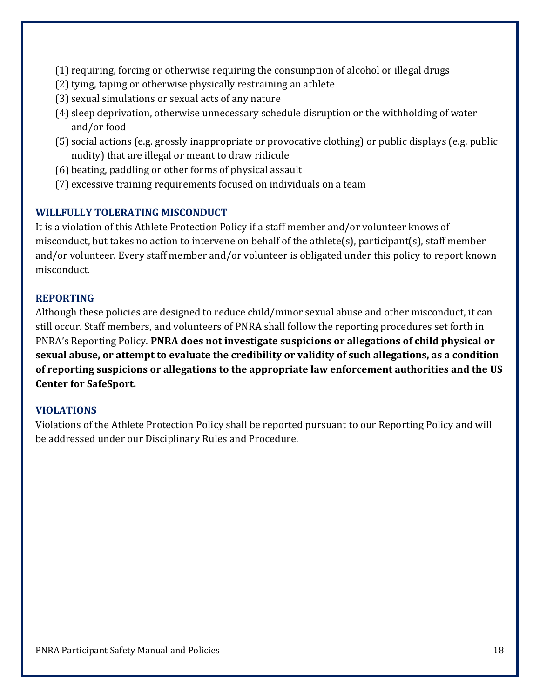- (1) requiring, forcing or otherwise requiring the consumption of alcohol or illegal drugs
- (2) tying, taping or otherwise physically restraining an athlete
- (3) sexual simulations or sexual acts of any nature
- (4) sleep deprivation, otherwise unnecessary schedule disruption or the withholding of water and/or food
- (5) social actions (e.g. grossly inappropriate or provocative clothing) or public displays (e.g. public nudity) that are illegal or meant to draw ridicule
- (6) beating, paddling or other forms of physical assault
- (7) excessive training requirements focused on individuals on a team

#### **WILLFULLY TOLERATING MISCONDUCT**

It is a violation of this Athlete Protection Policy if a staff member and/or volunteer knows of misconduct, but takes no action to intervene on behalf of the athlete(s), participant(s), staff member and/or volunteer. Every staff member and/or volunteer is obligated under this policy to report known misconduct.

#### **REPORTING**

Although these policies are designed to reduce child/minor sexual abuse and other misconduct, it can still occur. Staff members, and volunteers of PNRA shall follow the reporting procedures set forth in PNRA's Reporting Policy. **PNRA does not investigate suspicions or allegations of child physical or sexual abuse, or attempt to evaluate the credibility or validity of such allegations, as a condition of reporting suspicions or allegations to the appropriate law enforcement authorities and the US Center for SafeSport.**

#### **VIOLATIONS**

Violations of the Athlete Protection Policy shall be reported pursuant to our Reporting Policy and will be addressed under our Disciplinary Rules and Procedure.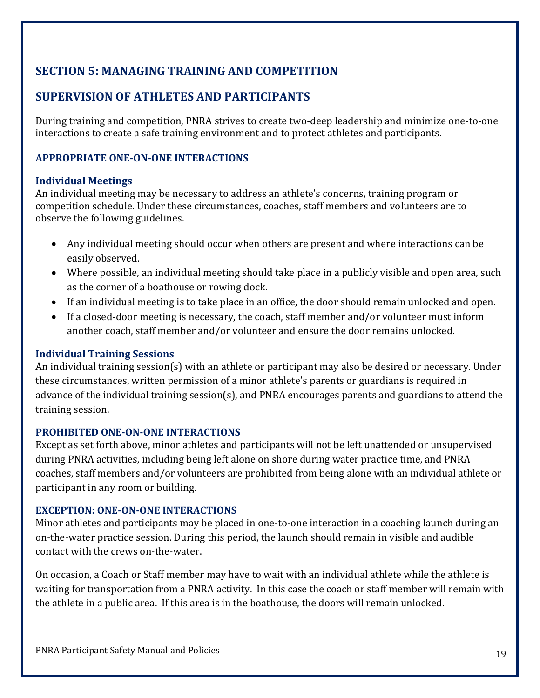# **SECTION 5: MANAGING TRAINING AND COMPETITION**

# **SUPERVISION OF ATHLETES AND PARTICIPANTS**

During training and competition, PNRA strives to create two-deep leadership and minimize one-to-one interactions to create a safe training environment and to protect athletes and participants.

#### **APPROPRIATE ONE‐ON‐ONE INTERACTIONS**

#### **Individual Meetings**

An individual meeting may be necessary to address an athlete's concerns, training program or competition schedule. Under these circumstances, coaches, staff members and volunteers are to observe the following guidelines.

- Any individual meeting should occur when others are present and where interactions can be easily observed.
- Where possible, an individual meeting should take place in a publicly visible and open area, such as the corner of a boathouse or rowing dock.
- If an individual meeting is to take place in an office, the door should remain unlocked and open.
- If a closed-door meeting is necessary, the coach, staff member and/or volunteer must inform another coach, staff member and/or volunteer and ensure the door remains unlocked.

#### **Individual Training Sessions**

An individual training session(s) with an athlete or participant may also be desired or necessary. Under these circumstances, written permission of a minor athlete's parents or guardians is required in advance of the individual training session(s), and PNRA encourages parents and guardians to attend the training session.

#### **PROHIBITED ONE‐ON‐ONE INTERACTIONS**

Except as set forth above, minor athletes and participants will not be left unattended or unsupervised during PNRA activities, including being left alone on shore during water practice time, and PNRA coaches, staff members and/or volunteers are prohibited from being alone with an individual athlete or participant in any room or building.

#### **EXCEPTION: ONE‐ON‐ONE INTERACTIONS**

Minor athletes and participants may be placed in one-to-one interaction in a coaching launch during an on-the-water practice session. During this period, the launch should remain in visible and audible contact with the crews on-the-water.

On occasion, a Coach or Staff member may have to wait with an individual athlete while the athlete is waiting for transportation from a PNRA activity. In this case the coach or staff member will remain with the athlete in a public area. If this area is in the boathouse, the doors will remain unlocked.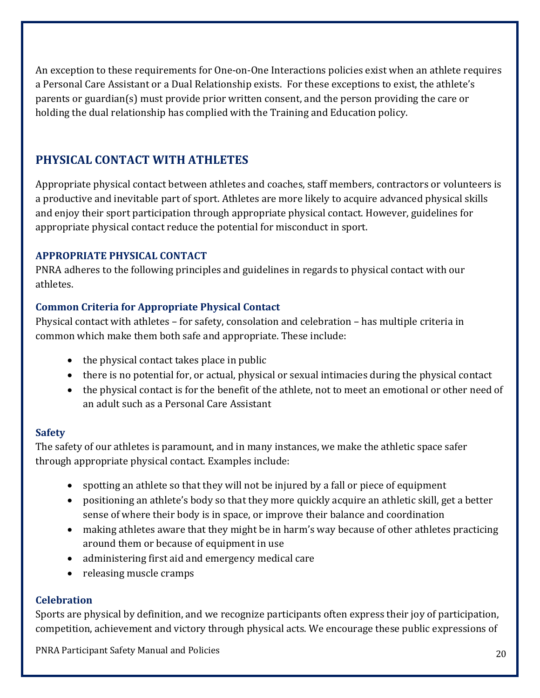An exception to these requirements for One-on-One Interactions policies exist when an athlete requires a Personal Care Assistant or a Dual Relationship exists. For these exceptions to exist, the athlete's parents or guardian(s) must provide prior written consent, and the person providing the care or holding the dual relationship has complied with the Training and Education policy.

# **PHYSICAL CONTACT WITH ATHLETES**

Appropriate physical contact between athletes and coaches, staff members, contractors or volunteers is a productive and inevitable part of sport. Athletes are more likely to acquire advanced physical skills and enjoy their sport participation through appropriate physical contact. However, guidelines for appropriate physical contact reduce the potential for misconduct in sport.

#### **APPROPRIATE PHYSICAL CONTACT**

PNRA adheres to the following principles and guidelines in regards to physical contact with our athletes.

#### **Common Criteria for Appropriate Physical Contact**

Physical contact with athletes – for safety, consolation and celebration – has multiple criteria in common which make them both safe and appropriate. These include:

- $\bullet$  the physical contact takes place in public
- there is no potential for, or actual, physical or sexual intimacies during the physical contact
- the physical contact is for the benefit of the athlete, not to meet an emotional or other need of an adult such as a Personal Care Assistant

#### **Safety**

The safety of our athletes is paramount, and in many instances, we make the athletic space safer through appropriate physical contact. Examples include:

- spotting an athlete so that they will not be injured by a fall or piece of equipment
- positioning an athlete's body so that they more quickly acquire an athletic skill, get a better sense of where their body is in space, or improve their balance and coordination
- making athletes aware that they might be in harm's way because of other athletes practicing around them or because of equipment in use
- administering first aid and emergency medical care
- releasing muscle cramps

#### **Celebration**

Sports are physical by definition, and we recognize participants often express their joy of participation, competition, achievement and victory through physical acts. We encourage these public expressions of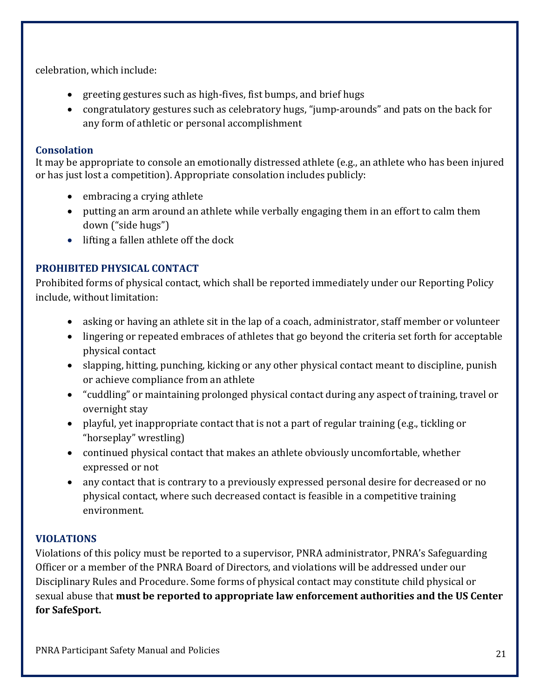celebration, which include:

- greeting gestures such as high-fives, fist bumps, and brief hugs
- congratulatory gestures such as celebratory hugs, "jump-arounds" and pats on the back for any form of athletic or personal accomplishment

#### **Consolation**

It may be appropriate to console an emotionally distressed athlete (e.g., an athlete who has been injured or has just lost a competition). Appropriate consolation includes publicly:

- embracing a crying athlete
- putting an arm around an athlete while verbally engaging them in an effort to calm them down ("side hugs")
- lifting a fallen athlete off the dock

#### **PROHIBITED PHYSICAL CONTACT**

Prohibited forms of physical contact, which shall be reported immediately under our Reporting Policy include, without limitation:

- asking or having an athlete sit in the lap of a coach, administrator, staff member or volunteer
- lingering or repeated embraces of athletes that go beyond the criteria set forth for acceptable physical contact
- slapping, hitting, punching, kicking or any other physical contact meant to discipline, punish or achieve compliance from an athlete
- "cuddling" or maintaining prolonged physical contact during any aspect of training, travel or overnight stay
- playful, yet inappropriate contact that is not a part of regular training (e.g., tickling or "horseplay" wrestling)
- continued physical contact that makes an athlete obviously uncomfortable, whether expressed or not
- any contact that is contrary to a previously expressed personal desire for decreased or no physical contact, where such decreased contact is feasible in a competitive training environment.

#### **VIOLATIONS**

Violations of this policy must be reported to a supervisor, PNRA administrator, PNRA's Safeguarding Officer or a member of the PNRA Board of Directors, and violations will be addressed under our Disciplinary Rules and Procedure. Some forms of physical contact may constitute child physical or sexual abuse that **must be reported to appropriate law enforcement authorities and the US Center for SafeSport.**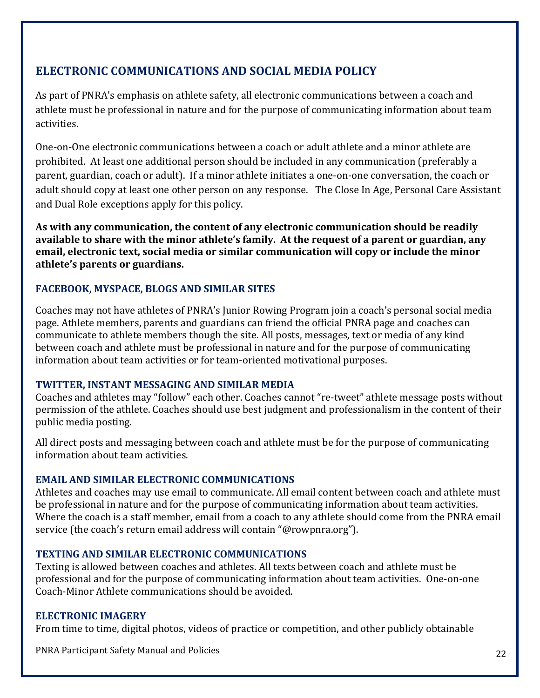# **ELECTRONIC COMMUNICATIONS AND SOCIAL MEDIA POLICY**

As part of PNRA's emphasis on athlete safety, all electronic communications between a coach and athlete must be professional in nature and for the purpose of communicating information about team activities.

One-on-One electronic communications between a coach or adult athlete and a minor athlete are prohibited. At least one additional person should be included in any communication (preferably a parent, guardian, coach or adult). If a minor athlete initiates a one-on-one conversation, the coach or adult should copy at least one other person on any response. The Close In Age, Personal Care Assistant and Dual Role exceptions apply for this policy.

**As with any communication, the content of any electronic communication should be readily available to share with the minor athlete's family. At the request of a parent or guardian, any email, electronic text, social media or similar communication will copy or include the minor athlete's parents or guardians.**

#### **FACEBOOK, MYSPACE, BLOGS AND SIMILAR SITES**

Coaches may not have athletes of PNRA's Junior Rowing Program join a coach's personal social media page. Athlete members, parents and guardians can friend the official PNRA page and coaches can communicate to athlete members though the site. All posts, messages, text or media of any kind between coach and athlete must be professional in nature and for the purpose of communicating information about team activities or for team-oriented motivational purposes.

#### **TWITTER, INSTANT MESSAGING AND SIMILAR MEDIA**

Coaches and athletes may "follow" each other. Coaches cannot "re-tweet" athlete message posts without permission of the athlete. Coaches should use best judgment and professionalism in the content of their public media posting.

All direct posts and messaging between coach and athlete must be for the purpose of communicating information about team activities.

#### **EMAIL AND SIMILAR ELECTRONIC COMMUNICATIONS**

Athletes and coaches may use email to communicate. All email content between coach and athlete must be professional in nature and for the purpose of communicating information about team activities. Where the coach is a staff member, email from a coach to any athlete should come from the PNRA email service (the coach's return email address will contain "@rowpnra.org").

#### **TEXTING AND SIMILAR ELECTRONIC COMMUNICATIONS**

Texting is allowed between coaches and athletes. All texts between coach and athlete must be professional and for the purpose of communicating information about team activities. One-on-one Coach-Minor Athlete communications should be avoided.

#### **ELECTRONIC IMAGERY**

From time to time, digital photos, videos of practice or competition, and other publicly obtainable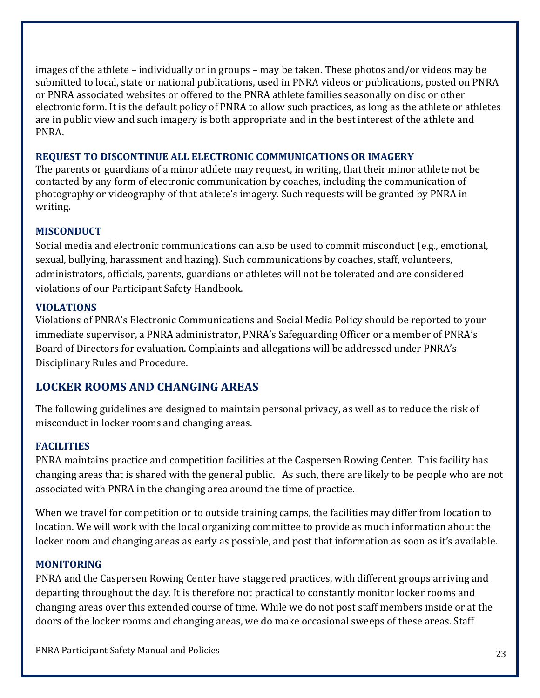images of the athlete – individually or in groups – may be taken. These photos and/or videos may be submitted to local, state or national publications, used in PNRA videos or publications, posted on PNRA or PNRA associated websites or offered to the PNRA athlete families seasonally on disc or other electronic form. It is the default policy of PNRA to allow such practices, as long as the athlete or athletes are in public view and such imagery is both appropriate and in the best interest of the athlete and PNRA.

#### **REQUEST TO DISCONTINUE ALL ELECTRONIC COMMUNICATIONS OR IMAGERY**

The parents or guardians of a minor athlete may request, in writing, that their minor athlete not be contacted by any form of electronic communication by coaches, including the communication of photography or videography of that athlete's imagery. Such requests will be granted by PNRA in writing.

#### **MISCONDUCT**

Social media and electronic communications can also be used to commit misconduct (e.g., emotional, sexual, bullying, harassment and hazing). Such communications by coaches, staff, volunteers, administrators, officials, parents, guardians or athletes will not be tolerated and are considered violations of our Participant Safety Handbook.

#### **VIOLATIONS**

Violations of PNRA's Electronic Communications and Social Media Policy should be reported to your immediate supervisor, a PNRA administrator, PNRA's Safeguarding Officer or a member of PNRA's Board of Directors for evaluation. Complaints and allegations will be addressed under PNRA's Disciplinary Rules and Procedure.

# **LOCKER ROOMS AND CHANGING AREAS**

The following guidelines are designed to maintain personal privacy, as well as to reduce the risk of misconduct in locker rooms and changing areas.

#### **FACILITIES**

PNRA maintains practice and competition facilities at the Caspersen Rowing Center. This facility has changing areas that is shared with the general public. As such, there are likely to be people who are not associated with PNRA in the changing area around the time of practice.

When we travel for competition or to outside training camps, the facilities may differ from location to location. We will work with the local organizing committee to provide as much information about the locker room and changing areas as early as possible, and post that information as soon as it's available.

#### **MONITORING**

PNRA and the Caspersen Rowing Center have staggered practices, with different groups arriving and departing throughout the day. It is therefore not practical to constantly monitor locker rooms and changing areas over this extended course of time. While we do not post staff members inside or at the doors of the locker rooms and changing areas, we do make occasional sweeps of these areas. Staff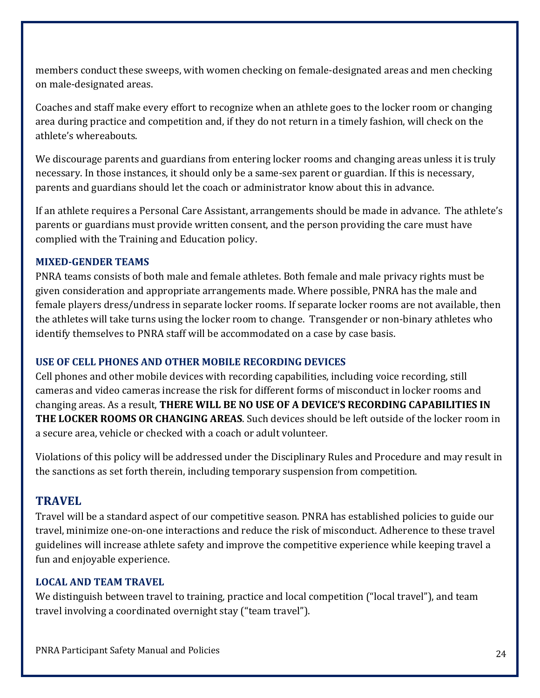members conduct these sweeps, with women checking on female-designated areas and men checking on male-designated areas.

Coaches and staff make every effort to recognize when an athlete goes to the locker room or changing area during practice and competition and, if they do not return in a timely fashion, will check on the athlete's whereabouts.

We discourage parents and guardians from entering locker rooms and changing areas unless it is truly necessary. In those instances, it should only be a same-sex parent or guardian. If this is necessary, parents and guardians should let the coach or administrator know about this in advance.

If an athlete requires a Personal Care Assistant, arrangements should be made in advance. The athlete's parents or guardians must provide written consent, and the person providing the care must have complied with the Training and Education policy.

#### **MIXED‐GENDER TEAMS**

PNRA teams consists of both male and female athletes. Both female and male privacy rights must be given consideration and appropriate arrangements made. Where possible, PNRA has the male and female players dress/undress in separate locker rooms. If separate locker rooms are not available, then the athletes will take turns using the locker room to change. Transgender or non-binary athletes who identify themselves to PNRA staff will be accommodated on a case by case basis.

#### **USE OF CELL PHONES AND OTHER MOBILE RECORDING DEVICES**

Cell phones and other mobile devices with recording capabilities, including voice recording, still cameras and video cameras increase the risk for different forms of misconduct in locker rooms and changing areas. As a result, **THERE WILL BE NO USE OF A DEVICE'S RECORDING CAPABILITIES IN THE LOCKER ROOMS OR CHANGING AREAS**. Such devices should be left outside of the locker room in a secure area, vehicle or checked with a coach or adult volunteer.

Violations of this policy will be addressed under the Disciplinary Rules and Procedure and may result in the sanctions as set forth therein, including temporary suspension from competition.

# **TRAVEL**

Travel will be a standard aspect of our competitive season. PNRA has established policies to guide our travel, minimize one-on-one interactions and reduce the risk of misconduct. Adherence to these travel guidelines will increase athlete safety and improve the competitive experience while keeping travel a fun and enjoyable experience.

#### **LOCAL AND TEAM TRAVEL**

We distinguish between travel to training, practice and local competition ("local travel"), and team travel involving a coordinated overnight stay ("team travel").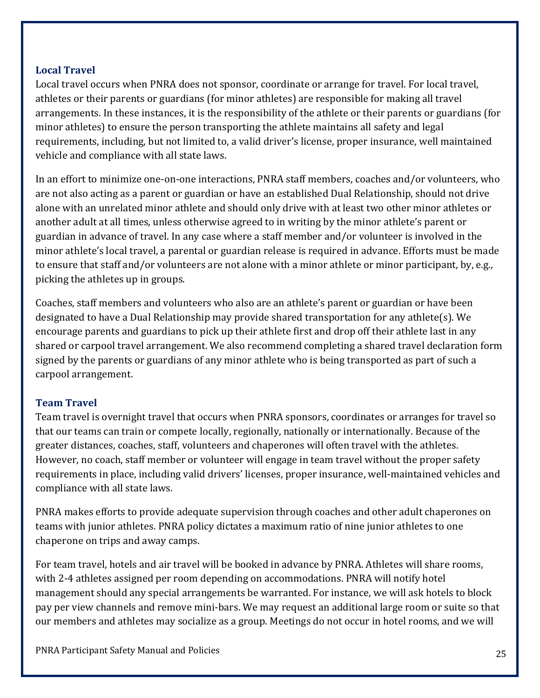#### **Local Travel**

Local travel occurs when PNRA does not sponsor, coordinate or arrange for travel. For local travel, athletes or their parents or guardians (for minor athletes) are responsible for making all travel arrangements. In these instances, it is the responsibility of the athlete or their parents or guardians (for minor athletes) to ensure the person transporting the athlete maintains all safety and legal requirements, including, but not limited to, a valid driver's license, proper insurance, well maintained vehicle and compliance with all state laws.

In an effort to minimize one-on-one interactions, PNRA staff members, coaches and/or volunteers, who are not also acting as a parent or guardian or have an established Dual Relationship, should not drive alone with an unrelated minor athlete and should only drive with at least two other minor athletes or another adult at all times, unless otherwise agreed to in writing by the minor athlete's parent or guardian in advance of travel. In any case where a staff member and/or volunteer is involved in the minor athlete's local travel, a parental or guardian release is required in advance. Efforts must be made to ensure that staff and/or volunteers are not alone with a minor athlete or minor participant, by, e.g., picking the athletes up in groups.

Coaches, staff members and volunteers who also are an athlete's parent or guardian or have been designated to have a Dual Relationship may provide shared transportation for any athlete(s). We encourage parents and guardians to pick up their athlete first and drop off their athlete last in any shared or carpool travel arrangement. We also recommend completing a shared travel declaration form signed by the parents or guardians of any minor athlete who is being transported as part of such a carpool arrangement.

#### **Team Travel**

Team travel is overnight travel that occurs when PNRA sponsors, coordinates or arranges for travel so that our teams can train or compete locally, regionally, nationally or internationally. Because of the greater distances, coaches, staff, volunteers and chaperones will often travel with the athletes. However, no coach, staff member or volunteer will engage in team travel without the proper safety requirements in place, including valid drivers' licenses, proper insurance, well-maintained vehicles and compliance with all state laws.

PNRA makes efforts to provide adequate supervision through coaches and other adult chaperones on teams with junior athletes. PNRA policy dictates a maximum ratio of nine junior athletes to one chaperone on trips and away camps.

For team travel, hotels and air travel will be booked in advance by PNRA. Athletes will share rooms, with 2-4 athletes assigned per room depending on accommodations. PNRA will notify hotel management should any special arrangements be warranted. For instance, we will ask hotels to block pay per view channels and remove mini-bars. We may request an additional large room or suite so that our members and athletes may socialize as a group. Meetings do not occur in hotel rooms, and we will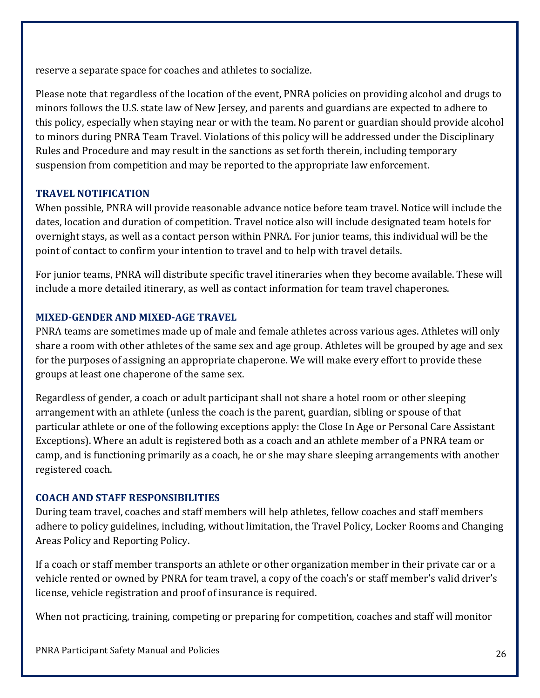reserve a separate space for coaches and athletes to socialize.

Please note that regardless of the location of the event, PNRA policies on providing alcohol and drugs to minors follows the U.S. state law of New Jersey, and parents and guardians are expected to adhere to this policy, especially when staying near or with the team. No parent or guardian should provide alcohol to minors during PNRA Team Travel. Violations of this policy will be addressed under the Disciplinary Rules and Procedure and may result in the sanctions as set forth therein, including temporary suspension from competition and may be reported to the appropriate law enforcement.

#### **TRAVEL NOTIFICATION**

When possible, PNRA will provide reasonable advance notice before team travel. Notice will include the dates, location and duration of competition. Travel notice also will include designated team hotels for overnight stays, as well as a contact person within PNRA. For junior teams, this individual will be the point of contact to confirm your intention to travel and to help with travel details.

For junior teams, PNRA will distribute specific travel itineraries when they become available. These will include a more detailed itinerary, as well as contact information for team travel chaperones.

#### **MIXED‐GENDER AND MIXED‐AGE TRAVEL**

PNRA teams are sometimes made up of male and female athletes across various ages. Athletes will only share a room with other athletes of the same sex and age group. Athletes will be grouped by age and sex for the purposes of assigning an appropriate chaperone. We will make every effort to provide these groups at least one chaperone of the same sex.

Regardless of gender, a coach or adult participant shall not share a hotel room or other sleeping arrangement with an athlete (unless the coach is the parent, guardian, sibling or spouse of that particular athlete or one of the following exceptions apply: the Close In Age or Personal Care Assistant Exceptions). Where an adult is registered both as a coach and an athlete member of a PNRA team or camp, and is functioning primarily as a coach, he or she may share sleeping arrangements with another registered coach.

#### **COACH AND STAFF RESPONSIBILITIES**

During team travel, coaches and staff members will help athletes, fellow coaches and staff members adhere to policy guidelines, including, without limitation, the Travel Policy, Locker Rooms and Changing Areas Policy and Reporting Policy.

If a coach or staff member transports an athlete or other organization member in their private car or a vehicle rented or owned by PNRA for team travel, a copy of the coach's or staff member's valid driver's license, vehicle registration and proof of insurance is required.

When not practicing, training, competing or preparing for competition, coaches and staff will monitor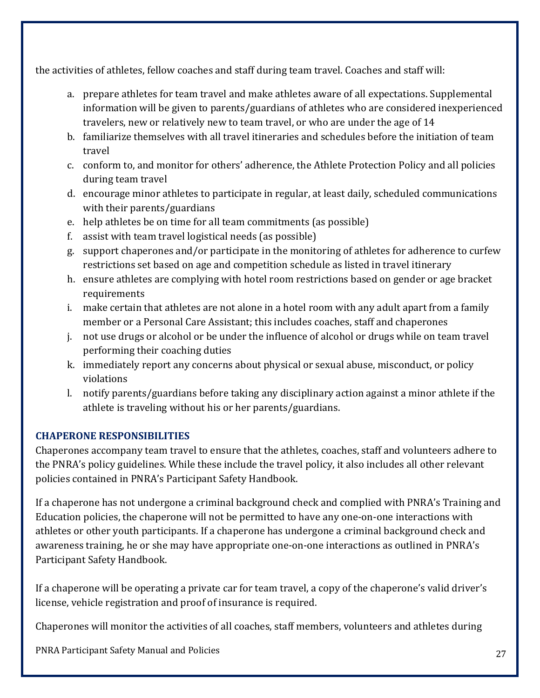the activities of athletes, fellow coaches and staff during team travel. Coaches and staff will:

- a. prepare athletes for team travel and make athletes aware of all expectations. Supplemental information will be given to parents/guardians of athletes who are considered inexperienced travelers, new or relatively new to team travel, or who are under the age of 14
- b. familiarize themselves with all travel itineraries and schedules before the initiation of team travel
- c. conform to, and monitor for others' adherence, the Athlete Protection Policy and all policies during team travel
- d. encourage minor athletes to participate in regular, at least daily, scheduled communications with their parents/guardians
- e. help athletes be on time for all team commitments (as possible)
- f. assist with team travel logistical needs (as possible)
- g. support chaperones and/or participate in the monitoring of athletes for adherence to curfew restrictions set based on age and competition schedule as listed in travel itinerary
- h. ensure athletes are complying with hotel room restrictions based on gender or age bracket requirements
- i. make certain that athletes are not alone in a hotel room with any adult apart from a family member or a Personal Care Assistant; this includes coaches, staff and chaperones
- j. not use drugs or alcohol or be under the influence of alcohol or drugs while on team travel performing their coaching duties
- k. immediately report any concerns about physical or sexual abuse, misconduct, or policy violations
- l. notify parents/guardians before taking any disciplinary action against a minor athlete if the athlete is traveling without his or her parents/guardians.

#### **CHAPERONE RESPONSIBILITIES**

Chaperones accompany team travel to ensure that the athletes, coaches, staff and volunteers adhere to the PNRA's policy guidelines. While these include the travel policy, it also includes all other relevant policies contained in PNRA's Participant Safety Handbook.

If a chaperone has not undergone a criminal background check and complied with PNRA's Training and Education policies, the chaperone will not be permitted to have any one-on-one interactions with athletes or other youth participants. If a chaperone has undergone a criminal background check and awareness training, he or she may have appropriate one-on-one interactions as outlined in PNRA's Participant Safety Handbook.

If a chaperone will be operating a private car for team travel, a copy of the chaperone's valid driver's license, vehicle registration and proof of insurance is required.

Chaperones will monitor the activities of all coaches, staff members, volunteers and athletes during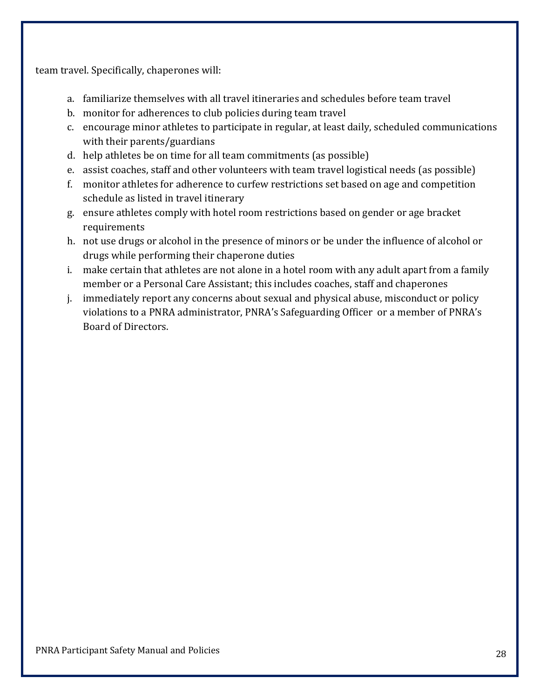team travel. Specifically, chaperones will:

- a. familiarize themselves with all travel itineraries and schedules before team travel
- b. monitor for adherences to club policies during team travel
- c. encourage minor athletes to participate in regular, at least daily, scheduled communications with their parents/guardians
- d. help athletes be on time for all team commitments (as possible)
- e. assist coaches, staff and other volunteers with team travel logistical needs (as possible)
- f. monitor athletes for adherence to curfew restrictions set based on age and competition schedule as listed in travel itinerary
- g. ensure athletes comply with hotel room restrictions based on gender or age bracket requirements
- h. not use drugs or alcohol in the presence of minors or be under the influence of alcohol or drugs while performing their chaperone duties
- i. make certain that athletes are not alone in a hotel room with any adult apart from a family member or a Personal Care Assistant; this includes coaches, staff and chaperones
- j. immediately report any concerns about sexual and physical abuse, misconduct or policy violations to a PNRA administrator, PNRA's Safeguarding Officer or a member of PNRA's Board of Directors.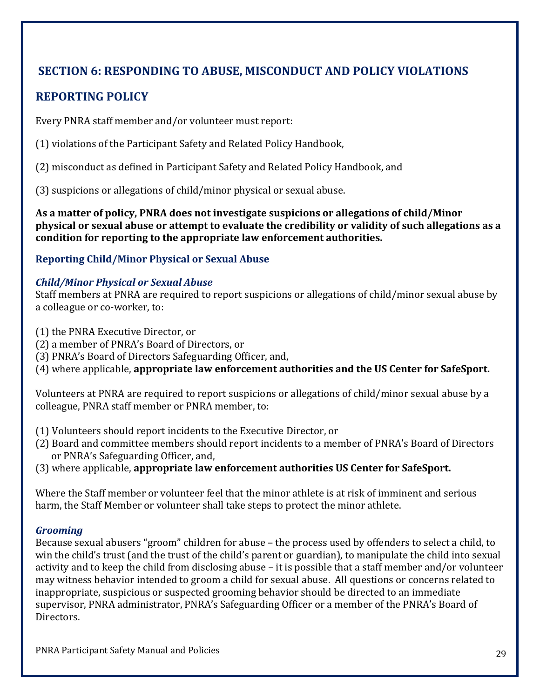# **SECTION 6: RESPONDING TO ABUSE, MISCONDUCT AND POLICY VIOLATIONS**

# **REPORTING POLICY**

Every PNRA staff member and/or volunteer must report:

(1) violations of the Participant Safety and Related Policy Handbook,

(2) misconduct as defined in Participant Safety and Related Policy Handbook, and

(3) suspicions or allegations of child/minor physical or sexual abuse.

**As a matter of policy, PNRA does not investigate suspicions or allegations of child/Minor physical or sexual abuse or attempt to evaluate the credibility or validity of such allegations as a condition for reporting to the appropriate law enforcement authorities.**

#### **Reporting Child/Minor Physical or Sexual Abuse**

#### *Child/Minor Physical or Sexual Abuse*

Staff members at PNRA are required to report suspicions or allegations of child/minor sexual abuse by a colleague or co-worker, to:

- (1) the PNRA Executive Director, or
- (2) a member of PNRA's Board of Directors, or
- (3) PNRA's Board of Directors Safeguarding Officer, and,

(4) where applicable, **appropriate law enforcement authorities and the US Center for SafeSport.**

Volunteers at PNRA are required to report suspicions or allegations of child/minor sexual abuse by a colleague, PNRA staff member or PNRA member, to:

- (1) Volunteers should report incidents to the Executive Director, or
- (2) Board and committee members should report incidents to a member of PNRA's Board of Directors or PNRA's Safeguarding Officer, and,
- (3) where applicable, **appropriate law enforcement authorities US Center for SafeSport.**

Where the Staff member or volunteer feel that the minor athlete is at risk of imminent and serious harm, the Staff Member or volunteer shall take steps to protect the minor athlete.

#### *Grooming*

Because sexual abusers "groom" children for abuse – the process used by offenders to select a child, to win the child's trust (and the trust of the child's parent or guardian), to manipulate the child into sexual activity and to keep the child from disclosing abuse – it is possible that a staff member and/or volunteer may witness behavior intended to groom a child for sexual abuse. All questions or concerns related to inappropriate, suspicious or suspected grooming behavior should be directed to an immediate supervisor, PNRA administrator, PNRA's Safeguarding Officer or a member of the PNRA's Board of Directors.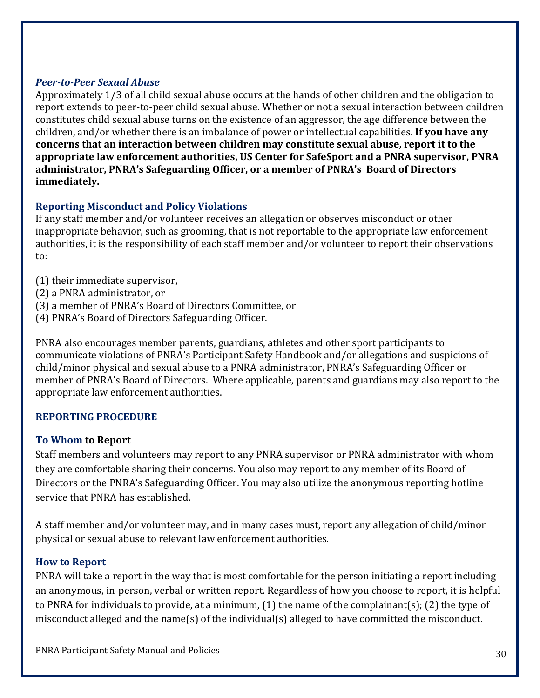#### *Peer‐to‐Peer Sexual Abuse*

Approximately 1/3 of all child sexual abuse occurs at the hands of other children and the obligation to report extends to peer-to-peer child sexual abuse. Whether or not a sexual interaction between children constitutes child sexual abuse turns on the existence of an aggressor, the age difference between the children, and/or whether there is an imbalance of power or intellectual capabilities. **If you have any concerns that an interaction between children may constitute sexual abuse, report it to the appropriate law enforcement authorities, US Center for SafeSport and a PNRA supervisor, PNRA administrator, PNRA's Safeguarding Officer, or a member of PNRA's Board of Directors immediately.**

#### **Reporting Misconduct and Policy Violations**

If any staff member and/or volunteer receives an allegation or observes misconduct or other inappropriate behavior, such as grooming, that is not reportable to the appropriate law enforcement authorities, it is the responsibility of each staff member and/or volunteer to report their observations to:

- (1) their immediate supervisor,
- (2) a PNRA administrator, or
- (3) a member of PNRA's Board of Directors Committee, or
- (4) PNRA's Board of Directors Safeguarding Officer.

PNRA also encourages member parents, guardians, athletes and other sport participants to communicate violations of PNRA's Participant Safety Handbook and/or allegations and suspicions of child/minor physical and sexual abuse to a PNRA administrator, PNRA's Safeguarding Officer or member of PNRA's Board of Directors. Where applicable, parents and guardians may also report to the appropriate law enforcement authorities.

#### **REPORTING PROCEDURE**

#### **To Whom to Report**

Staff members and volunteers may report to any PNRA supervisor or PNRA administrator with whom they are comfortable sharing their concerns. You also may report to any member of its Board of Directors or the PNRA's Safeguarding Officer. You may also utilize the anonymous reporting hotline service that PNRA has established.

A staff member and/or volunteer may, and in many cases must, report any allegation of child/minor physical or sexual abuse to relevant law enforcement authorities.

#### **How to Report**

PNRA will take a report in the way that is most comfortable for the person initiating a report including an anonymous, in-person, verbal or written report. Regardless of how you choose to report, it is helpful to PNRA for individuals to provide, at a minimum, (1) the name of the complainant(s); (2) the type of misconduct alleged and the name(s) of the individual(s) alleged to have committed the misconduct.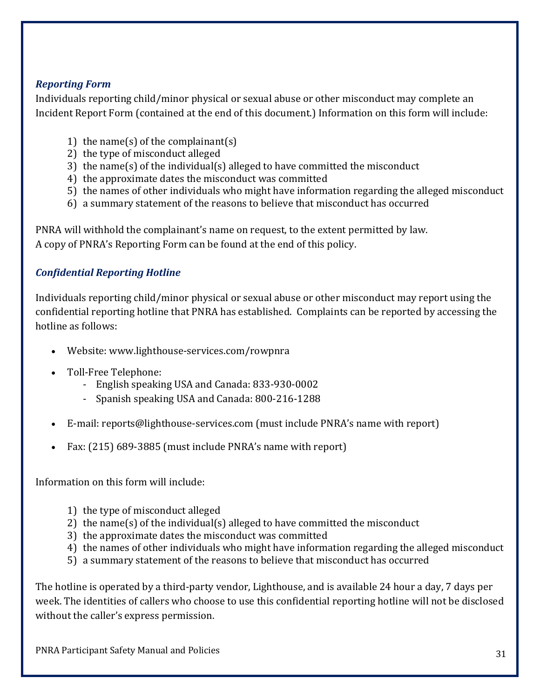#### *Reporting Form*

Individuals reporting child/minor physical or sexual abuse or other misconduct may complete an Incident Report Form (contained at the end of this document.) Information on this form will include:

- 1) the name(s) of the complainant(s)
- 2) the type of misconduct alleged
- 3) the name(s) of the individual(s) alleged to have committed the misconduct
- 4) the approximate dates the misconduct was committed
- 5) the names of other individuals who might have information regarding the alleged misconduct
- 6) a summary statement of the reasons to believe that misconduct has occurred

PNRA will withhold the complainant's name on request, to the extent permitted by law. A copy of PNRA's Reporting Form can be found at the end of this policy.

# *Confidential Reporting Hotline*

Individuals reporting child/minor physical or sexual abuse or other misconduct may report using the confidential reporting hotline that PNRA has established. Complaints can be reported by accessing the hotline as follows:

- Website: www.lighthouse-services.com/rowpnra
- Toll-Free Telephone:
	- English speaking USA and Canada: 833-930-0002
	- Spanish speaking USA and Canada: 800-216-1288
- E-mail: reports@lighthouse-services.com (must include PNRA's name with report)
- Fax: (215) 689-3885 (must include PNRA's name with report)

Information on this form will include:

- 1) the type of misconduct alleged
- 2) the name(s) of the individual(s) alleged to have committed the misconduct
- 3) the approximate dates the misconduct was committed
- 4) the names of other individuals who might have information regarding the alleged misconduct
- 5) a summary statement of the reasons to believe that misconduct has occurred

The hotline is operated by a third-party vendor, Lighthouse, and is available 24 hour a day, 7 days per week. The identities of callers who choose to use this confidential reporting hotline will not be disclosed without the caller's express permission.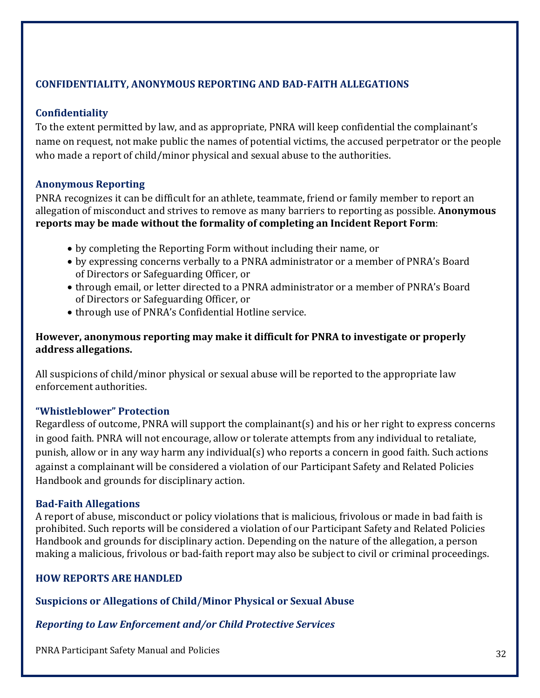# **CONFIDENTIALITY, ANONYMOUS REPORTING AND BAD‐FAITH ALLEGATIONS**

#### **Confidentiality**

To the extent permitted by law, and as appropriate, PNRA will keep confidential the complainant's name on request, not make public the names of potential victims, the accused perpetrator or the people who made a report of child/minor physical and sexual abuse to the authorities.

#### **Anonymous Reporting**

PNRA recognizes it can be difficult for an athlete, teammate, friend or family member to report an allegation of misconduct and strives to remove as many barriers to reporting as possible. **Anonymous reports may be made without the formality of completing an Incident Report Form**:

- by completing the Reporting Form without including their name, or
- by expressing concerns verbally to a PNRA administrator or a member of PNRA's Board of Directors or Safeguarding Officer, or
- through email, or letter directed to a PNRA administrator or a member of PNRA's Board of Directors or Safeguarding Officer, or
- through use of PNRA's Confidential Hotline service.

#### **However, anonymous reporting may make it difficult for PNRA to investigate or properly address allegations.**

All suspicions of child/minor physical or sexual abuse will be reported to the appropriate law enforcement authorities.

#### **"Whistleblower" Protection**

Regardless of outcome, PNRA will support the complainant(s) and his or her right to express concerns in good faith. PNRA will not encourage, allow or tolerate attempts from any individual to retaliate, punish, allow or in any way harm any individual(s) who reports a concern in good faith. Such actions against a complainant will be considered a violation of our Participant Safety and Related Policies Handbook and grounds for disciplinary action.

#### **Bad‐Faith Allegations**

A report of abuse, misconduct or policy violations that is malicious, frivolous or made in bad faith is prohibited. Such reports will be considered a violation of our Participant Safety and Related Policies Handbook and grounds for disciplinary action. Depending on the nature of the allegation, a person making a malicious, frivolous or bad-faith report may also be subject to civil or criminal proceedings.

#### **HOW REPORTS ARE HANDLED**

**Suspicions or Allegations of Child/Minor Physical or Sexual Abuse**

#### *Reporting to Law Enforcement and/or Child Protective Services*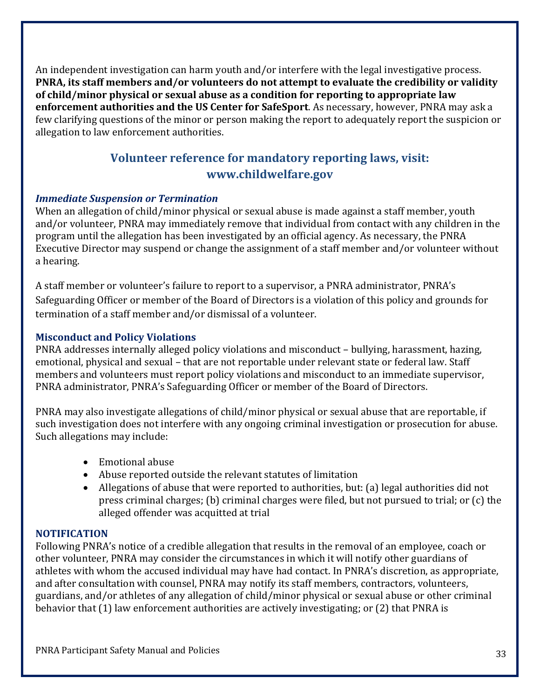An independent investigation can harm youth and/or interfere with the legal investigative process. **PNRA, its staff members and/or volunteers do not attempt to evaluate the credibility or validity of child/minor physical or sexual abuse as a condition for reporting to appropriate law enforcement authorities and the US Center for SafeSport**. As necessary, however, PNRA may ask a few clarifying questions of the minor or person making the report to adequately report the suspicion or allegation to law enforcement authorities.

# **Volunteer reference for mandatory reporting laws, visit: www.childwelfare.gov**

#### *Immediate Suspension or Termination*

When an allegation of child/minor physical or sexual abuse is made against a staff member, youth and/or volunteer, PNRA may immediately remove that individual from contact with any children in the program until the allegation has been investigated by an official agency. As necessary, the PNRA Executive Director may suspend or change the assignment of a staff member and/or volunteer without a hearing.

A staff member or volunteer's failure to report to a supervisor, a PNRA administrator, PNRA's Safeguarding Officer or member of the Board of Directors is a violation of this policy and grounds for termination of a staff member and/or dismissal of a volunteer.

#### **Misconduct and Policy Violations**

PNRA addresses internally alleged policy violations and misconduct – bullying, harassment, hazing, emotional, physical and sexual – that are not reportable under relevant state or federal law. Staff members and volunteers must report policy violations and misconduct to an immediate supervisor, PNRA administrator, PNRA's Safeguarding Officer or member of the Board of Directors.

PNRA may also investigate allegations of child/minor physical or sexual abuse that are reportable, if such investigation does not interfere with any ongoing criminal investigation or prosecution for abuse. Such allegations may include:

- Emotional abuse
- Abuse reported outside the relevant statutes of limitation
- Allegations of abuse that were reported to authorities, but: (a) legal authorities did not press criminal charges; (b) criminal charges were filed, but not pursued to trial; or (c) the alleged offender was acquitted at trial

#### **NOTIFICATION**

Following PNRA's notice of a credible allegation that results in the removal of an employee, coach or other volunteer, PNRA may consider the circumstances in which it will notify other guardians of athletes with whom the accused individual may have had contact. In PNRA's discretion, as appropriate, and after consultation with counsel, PNRA may notify its staff members, contractors, volunteers, guardians, and/or athletes of any allegation of child/minor physical or sexual abuse or other criminal behavior that (1) law enforcement authorities are actively investigating; or (2) that PNRA is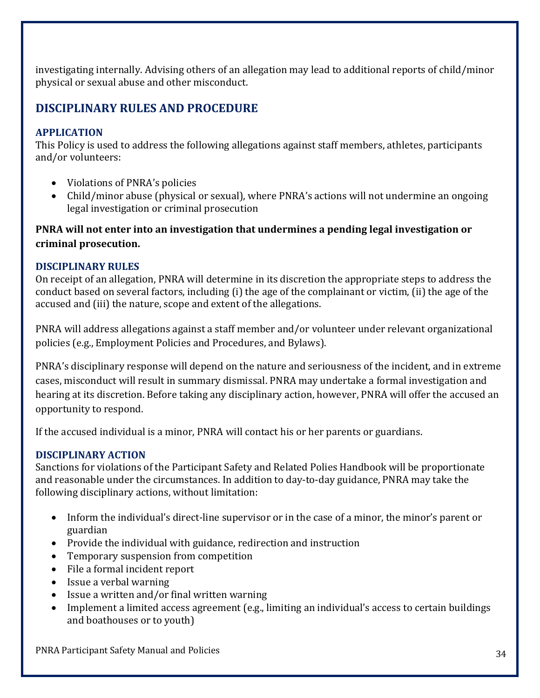investigating internally. Advising others of an allegation may lead to additional reports of child/minor physical or sexual abuse and other misconduct.

# **DISCIPLINARY RULES AND PROCEDURE**

#### **APPLICATION**

This Policy is used to address the following allegations against staff members, athletes, participants and/or volunteers:

- Violations of PNRA's policies
- Child/minor abuse (physical or sexual), where PNRA's actions will not undermine an ongoing legal investigation or criminal prosecution

# **PNRA will not enter into an investigation that undermines a pending legal investigation or criminal prosecution.**

#### **DISCIPLINARY RULES**

On receipt of an allegation, PNRA will determine in its discretion the appropriate steps to address the conduct based on several factors, including (i) the age of the complainant or victim, (ii) the age of the accused and (iii) the nature, scope and extent of the allegations.

PNRA will address allegations against a staff member and/or volunteer under relevant organizational policies (e.g., Employment Policies and Procedures, and Bylaws).

PNRA's disciplinary response will depend on the nature and seriousness of the incident, and in extreme cases, misconduct will result in summary dismissal. PNRA may undertake a formal investigation and hearing at its discretion. Before taking any disciplinary action, however, PNRA will offer the accused an opportunity to respond.

If the accused individual is a minor, PNRA will contact his or her parents or guardians.

#### **DISCIPLINARY ACTION**

Sanctions for violations of the Participant Safety and Related Polies Handbook will be proportionate and reasonable under the circumstances. In addition to day-to-day guidance, PNRA may take the following disciplinary actions, without limitation:

- Inform the individual's direct-line supervisor or in the case of a minor, the minor's parent or guardian
- Provide the individual with guidance, redirection and instruction
- Temporary suspension from competition
- File a formal incident report
- Issue a verbal warning
- Issue a written and/or final written warning
- Implement a limited access agreement (e.g., limiting an individual's access to certain buildings and boathouses or to youth)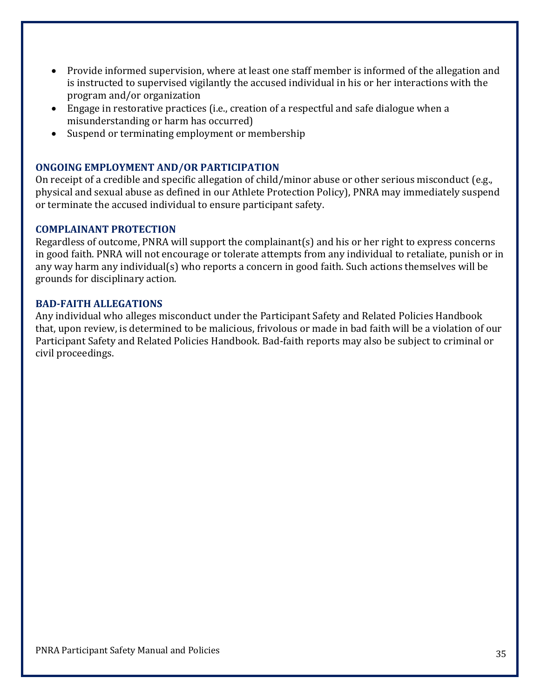- Provide informed supervision, where at least one staff member is informed of the allegation and is instructed to supervised vigilantly the accused individual in his or her interactions with the program and/or organization
- Engage in restorative practices (i.e., creation of a respectful and safe dialogue when a misunderstanding or harm has occurred)
- Suspend or terminating employment or membership

#### **ONGOING EMPLOYMENT AND/OR PARTICIPATION**

On receipt of a credible and specific allegation of child/minor abuse or other serious misconduct (e.g., physical and sexual abuse as defined in our Athlete Protection Policy), PNRA may immediately suspend or terminate the accused individual to ensure participant safety.

#### **COMPLAINANT PROTECTION**

Regardless of outcome, PNRA will support the complainant(s) and his or her right to express concerns in good faith. PNRA will not encourage or tolerate attempts from any individual to retaliate, punish or in any way harm any individual(s) who reports a concern in good faith. Such actions themselves will be grounds for disciplinary action.

#### **BAD‐FAITH ALLEGATIONS**

Any individual who alleges misconduct under the Participant Safety and Related Policies Handbook that, upon review, is determined to be malicious, frivolous or made in bad faith will be a violation of our Participant Safety and Related Policies Handbook. Bad-faith reports may also be subject to criminal or civil proceedings.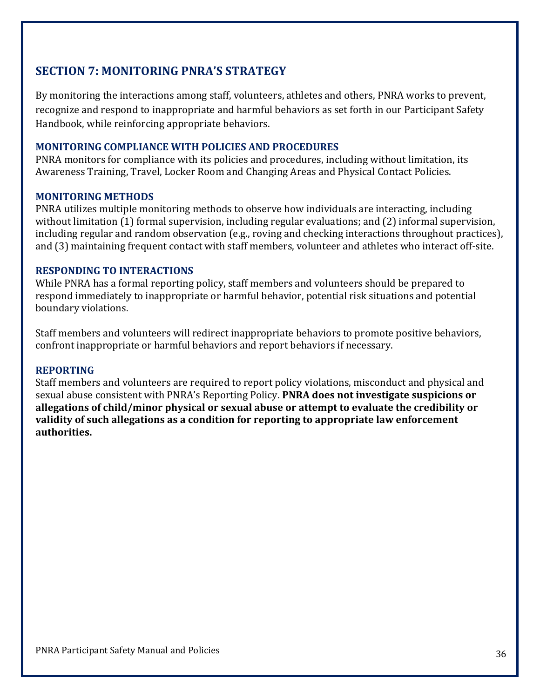# **SECTION 7: MONITORING PNRA'S STRATEGY**

By monitoring the interactions among staff, volunteers, athletes and others, PNRA works to prevent, recognize and respond to inappropriate and harmful behaviors as set forth in our Participant Safety Handbook, while reinforcing appropriate behaviors.

#### **MONITORING COMPLIANCE WITH POLICIES AND PROCEDURES**

PNRA monitors for compliance with its policies and procedures, including without limitation, its Awareness Training, Travel, Locker Room and Changing Areas and Physical Contact Policies.

#### **MONITORING METHODS**

PNRA utilizes multiple monitoring methods to observe how individuals are interacting, including without limitation (1) formal supervision, including regular evaluations; and (2) informal supervision, including regular and random observation (e.g., roving and checking interactions throughout practices), and (3) maintaining frequent contact with staff members, volunteer and athletes who interact off-site.

#### **RESPONDING TO INTERACTIONS**

While PNRA has a formal reporting policy, staff members and volunteers should be prepared to respond immediately to inappropriate or harmful behavior, potential risk situations and potential boundary violations.

Staff members and volunteers will redirect inappropriate behaviors to promote positive behaviors, confront inappropriate or harmful behaviors and report behaviors if necessary.

#### **REPORTING**

Staff members and volunteers are required to report policy violations, misconduct and physical and sexual abuse consistent with PNRA's Reporting Policy. **PNRA does not investigate suspicions or allegations of child/minor physical or sexual abuse or attempt to evaluate the credibility or validity of such allegations as a condition for reporting to appropriate law enforcement authorities.**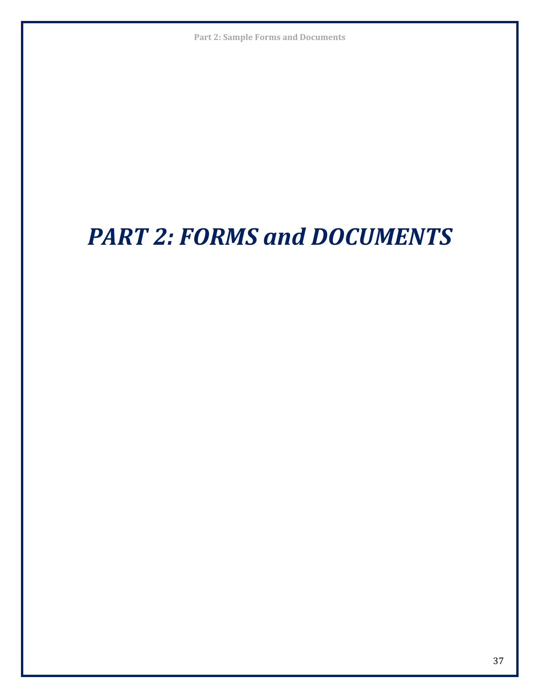**Part 2: Sample Forms and Documents**

# *PART 2: FORMS and DOCUMENTS*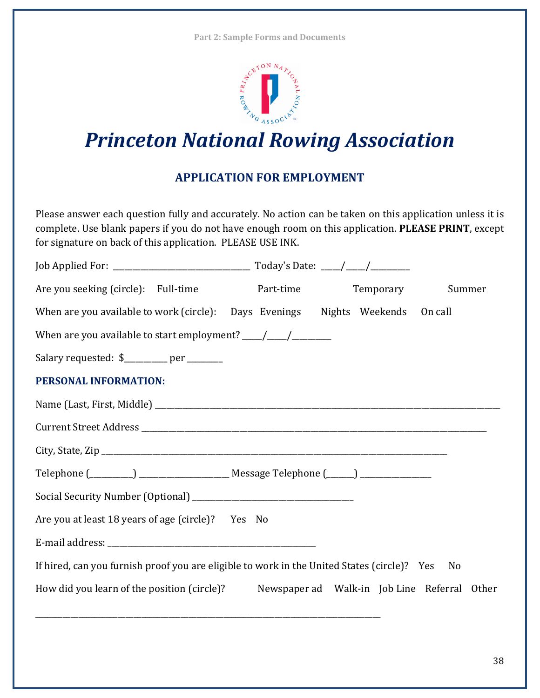**Part 2: Sample Forms and Documents**



# *Princeton National Rowing Association*

# **APPLICATION FOR EMPLOYMENT**

Please answer each question fully and accurately. No action can be taken on this application unless it is complete. Use blank papers if you do not have enough room on this application. **PLEASE PRINT**, except for signature on back of this application. PLEASE USE INK.

| Are you seeking (circle): Full-time                                                         | Part-time | Temporary | Summer |
|---------------------------------------------------------------------------------------------|-----------|-----------|--------|
| When are you available to work (circle): Days Evenings Nights Weekends On call              |           |           |        |
|                                                                                             |           |           |        |
| Salary requested: \$________ per ______                                                     |           |           |        |
| PERSONAL INFORMATION:                                                                       |           |           |        |
|                                                                                             |           |           |        |
|                                                                                             |           |           |        |
| City, State, Zip $\_\_$                                                                     |           |           |        |
|                                                                                             |           |           |        |
|                                                                                             |           |           |        |
| Are you at least 18 years of age (circle)? Yes No                                           |           |           |        |
|                                                                                             |           |           |        |
| If hired, can you furnish proof you are eligible to work in the United States (circle)? Yes |           |           | No     |
| How did you learn of the position (circle)? Newspaper ad Walk-in Job Line Referral Other    |           |           |        |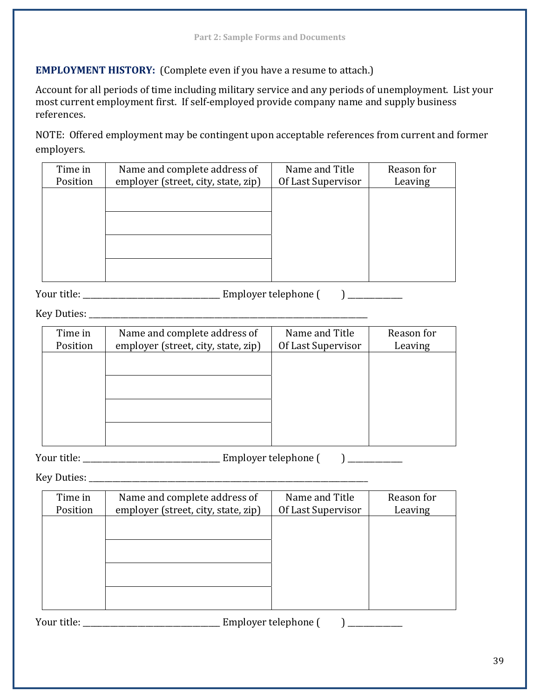#### **EMPLOYMENT HISTORY:** (Complete even if you have a resume to attach.)

Account for all periods of time including military service and any periods of unemployment. List your most current employment first. If self-employed provide company name and supply business references.

NOTE: Offered employment may be contingent upon acceptable references from current and former employers.

| Time in  | Name and complete address of        | Name and Title     | Reason for |
|----------|-------------------------------------|--------------------|------------|
| Position | employer (street, city, state, zip) | Of Last Supervisor | Leaving    |
|          |                                     |                    |            |
|          |                                     |                    |            |
|          |                                     |                    |            |
|          |                                     |                    |            |
|          |                                     |                    |            |
|          |                                     |                    |            |
|          |                                     |                    |            |
|          |                                     |                    |            |

Your title: \_\_\_\_\_\_\_\_\_\_\_\_\_\_\_\_\_\_\_\_\_\_\_\_\_\_\_\_\_\_\_\_\_\_\_ Employer telephone ( ) \_\_\_\_\_\_\_\_\_\_\_\_\_\_

Key Duties: \_\_\_\_\_\_\_\_\_\_\_\_\_\_\_\_\_\_\_\_\_\_\_\_\_\_\_\_\_\_\_\_\_\_\_\_\_\_\_\_\_\_\_\_\_\_\_\_\_\_\_\_\_\_\_\_\_\_\_\_\_\_\_\_\_\_\_\_\_\_\_

| Time in<br>Position | Name and complete address of<br>employer (street, city, state, zip) | Name and Title<br>Of Last Supervisor | Reason for<br>Leaving |
|---------------------|---------------------------------------------------------------------|--------------------------------------|-----------------------|
|                     |                                                                     |                                      |                       |
|                     |                                                                     |                                      |                       |
|                     |                                                                     |                                      |                       |
|                     |                                                                     |                                      |                       |

Your title: \_\_\_\_\_\_\_\_\_\_\_\_\_\_\_\_\_\_\_\_\_\_\_\_\_\_\_\_\_\_\_\_\_\_\_ Employer telephone ( ) \_\_\_\_\_\_\_\_\_\_\_\_\_\_

Key Duties: \_\_\_\_\_\_\_\_\_\_\_\_\_\_\_\_\_\_\_\_\_\_\_\_\_\_\_\_\_\_\_\_\_\_\_\_\_\_\_\_\_\_\_\_\_\_\_\_\_\_\_\_\_\_\_\_\_\_\_\_\_\_\_\_\_\_\_\_\_\_\_

| Time in  | Name and complete address of        | Name and Title     | Reason for |
|----------|-------------------------------------|--------------------|------------|
| Position | employer (street, city, state, zip) | Of Last Supervisor | Leaving    |
|          |                                     |                    |            |
|          |                                     |                    |            |
|          |                                     |                    |            |
|          |                                     |                    |            |
|          |                                     |                    |            |
|          |                                     |                    |            |
|          |                                     |                    |            |
|          |                                     |                    |            |

| Your title: | Employer telephone ( |  |
|-------------|----------------------|--|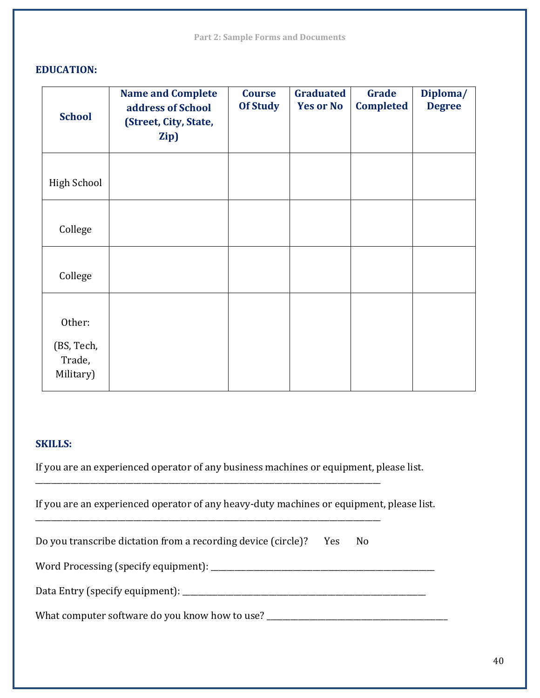#### **EDUCATION:**

| <b>School</b>                               | <b>Name and Complete</b><br>address of School<br>(Street, City, State,<br>Zip) | <b>Course</b><br><b>Of Study</b> | <b>Graduated</b><br><b>Yes or No</b> | Grade<br><b>Completed</b> | Diploma/<br><b>Degree</b> |
|---------------------------------------------|--------------------------------------------------------------------------------|----------------------------------|--------------------------------------|---------------------------|---------------------------|
| <b>High School</b>                          |                                                                                |                                  |                                      |                           |                           |
| College                                     |                                                                                |                                  |                                      |                           |                           |
| College                                     |                                                                                |                                  |                                      |                           |                           |
| Other:<br>(BS, Tech,<br>Trade,<br>Military) |                                                                                |                                  |                                      |                           |                           |

#### **SKILLS:**

If you are an experienced operator of any business machines or equipment, please list.

If you are an experienced operator of any heavy-duty machines or equipment, please list.

|  | Do you transcribe dictation from a recording device (circle)? |  |  | Yes No |  |
|--|---------------------------------------------------------------|--|--|--------|--|
|--|---------------------------------------------------------------|--|--|--------|--|

\_\_\_\_\_\_\_\_\_\_\_\_\_\_\_\_\_\_\_\_\_\_\_\_\_\_\_\_\_\_\_\_\_\_\_\_\_\_\_\_\_\_\_\_\_\_\_\_\_\_\_\_\_\_\_\_\_\_\_\_\_\_\_\_\_\_\_\_\_\_\_\_\_\_\_\_\_\_\_\_\_\_\_\_\_\_\_\_

\_\_\_\_\_\_\_\_\_\_\_\_\_\_\_\_\_\_\_\_\_\_\_\_\_\_\_\_\_\_\_\_\_\_\_\_\_\_\_\_\_\_\_\_\_\_\_\_\_\_\_\_\_\_\_\_\_\_\_\_\_\_\_\_\_\_\_\_\_\_\_\_\_\_\_\_\_\_\_\_\_\_\_\_\_\_\_\_

Word Processing (specify equipment): \_\_\_\_\_\_\_\_\_\_\_\_\_\_\_\_\_\_\_\_\_\_\_\_\_\_\_\_\_\_\_\_\_\_\_\_\_\_\_\_\_\_\_\_\_\_\_\_\_\_\_\_\_\_\_\_\_

Data Entry (specify equipment): \_\_\_\_\_\_\_\_\_\_\_\_\_\_\_\_\_\_\_\_\_\_\_\_\_\_\_\_\_\_\_\_\_\_\_\_\_\_\_\_\_\_\_\_\_\_\_\_\_\_\_\_\_\_\_\_\_\_\_\_\_\_

What computer software do you know how to use? \_\_\_\_\_\_\_\_\_\_\_\_\_\_\_\_\_\_\_\_\_\_\_\_\_\_\_\_\_\_\_\_\_\_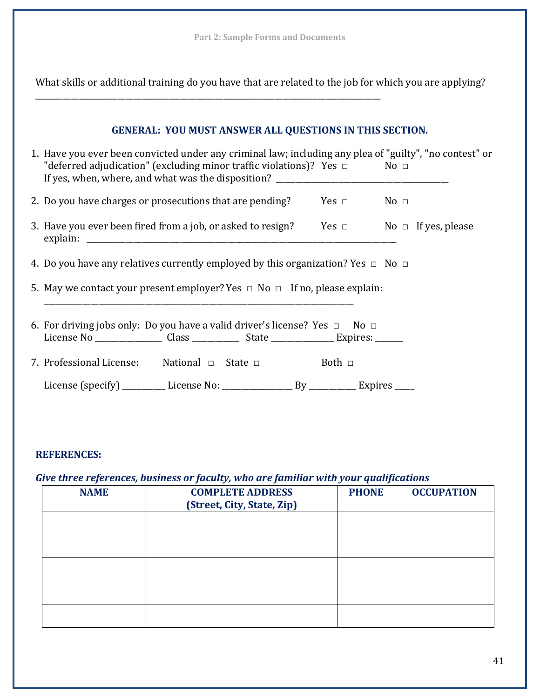What skills or additional training do you have that are related to the job for which you are applying?

\_\_\_\_\_\_\_\_\_\_\_\_\_\_\_\_\_\_\_\_\_\_\_\_\_\_\_\_\_\_\_\_\_\_\_\_\_\_\_\_\_\_\_\_\_\_\_\_\_\_\_\_\_\_\_\_\_\_\_\_\_\_\_\_\_\_\_\_\_\_\_\_\_\_\_\_\_\_\_\_\_\_\_\_\_\_\_\_

| GENERAL: YOU MUST ANSWER ALL QUESTIONS IN THIS SECTION.                                                                                                                                       |  |
|-----------------------------------------------------------------------------------------------------------------------------------------------------------------------------------------------|--|
| 1. Have you ever been convicted under any criminal law; including any plea of "guilty", "no contest" or<br>"deferred adjudication" (excluding minor traffic violations)? Yes $\Box$ No $\Box$ |  |
| 2. Do you have charges or prosecutions that are pending? Yes $\Box$ No $\Box$                                                                                                                 |  |
| 3. Have you ever been fired from a job, or asked to resign? Yes $\Box$ No $\Box$ If yes, please                                                                                               |  |
| 4. Do you have any relatives currently employed by this organization? Yes $\Box$ No $\Box$                                                                                                    |  |
| 5. May we contact your present employer? Yes $\Box$ No $\Box$ If no, please explain:                                                                                                          |  |
| 6. For driving jobs only: Do you have a valid driver's license? Yes $\Box$ No $\Box$<br>License No __________________ Class ______________ State ________________ Expires: _______            |  |
| 7. Professional License: National $\Box$ State $\Box$ Both $\Box$                                                                                                                             |  |
|                                                                                                                                                                                               |  |

#### **REFERENCES:**

# *Give three references, business or faculty, who are familiar with your qualifications*

| <b>NAME</b> | <b>COMPLETE ADDRESS</b><br>(Street, City, State, Zip) | <b>PHONE</b> | <b>OCCUPATION</b> |
|-------------|-------------------------------------------------------|--------------|-------------------|
|             |                                                       |              |                   |
|             |                                                       |              |                   |
|             |                                                       |              |                   |
|             |                                                       |              |                   |
|             |                                                       |              |                   |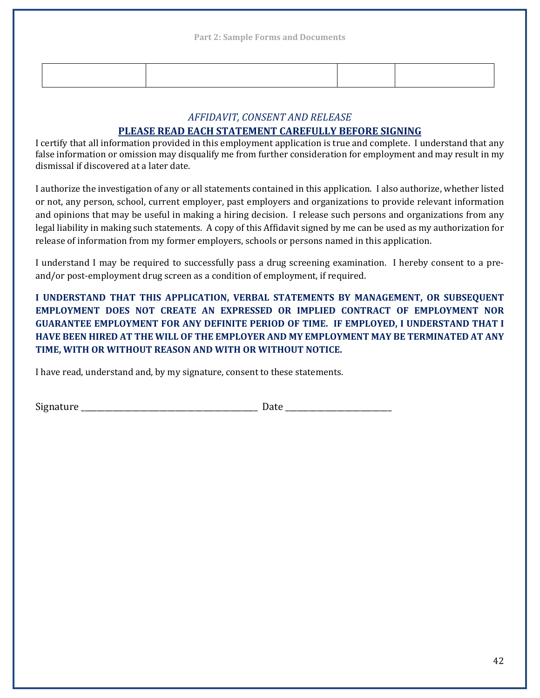| ,我们的人们就会在这里,我们的人们就会在这里,我们的人们就会在这里,我们的人们就会在这里,我们的人们就会在这里,我们的人们就会在这里,我们的人们就会在这里,我们 |  |
|----------------------------------------------------------------------------------|--|
|                                                                                  |  |
|                                                                                  |  |
|                                                                                  |  |
|                                                                                  |  |
|                                                                                  |  |
|                                                                                  |  |

#### *AFFIDAVIT, CONSENT AND RELEASE*

#### **PLEASE READ EACH STATEMENT CAREFULLY BEFORE SIGNING**

I certify that all information provided in this employment application is true and complete. I understand that any false information or omission may disqualify me from further consideration for employment and may result in my dismissal if discovered at a later date.

I authorize the investigation of any or all statements contained in this application. I also authorize, whether listed or not, any person, school, current employer, past employers and organizations to provide relevant information and opinions that may be useful in making a hiring decision. I release such persons and organizations from any legal liability in making such statements. A copy of this Affidavit signed by me can be used as my authorization for release of information from my former employers, schools or persons named in this application.

I understand I may be required to successfully pass a drug screening examination. I hereby consent to a preand/or post-employment drug screen as a condition of employment, if required.

**I UNDERSTAND THAT THIS APPLICATION, VERBAL STATEMENTS BY MANAGEMENT, OR SUBSEQUENT EMPLOYMENT DOES NOT CREATE AN EXPRESSED OR IMPLIED CONTRACT OF EMPLOYMENT NOR GUARANTEE EMPLOYMENT FOR ANY DEFINITE PERIOD OF TIME. IF EMPLOYED, I UNDERSTAND THAT I HAVE BEEN HIRED AT THE WILL OF THE EMPLOYER AND MY EMPLOYMENT MAY BE TERMINATED AT ANY TIME, WITH OR WITHOUT REASON AND WITH OR WITHOUT NOTICE.** 

I have read, understand and, by my signature, consent to these statements.

Signature the contract of the contract of  $\Gamma$  Date  $\Gamma$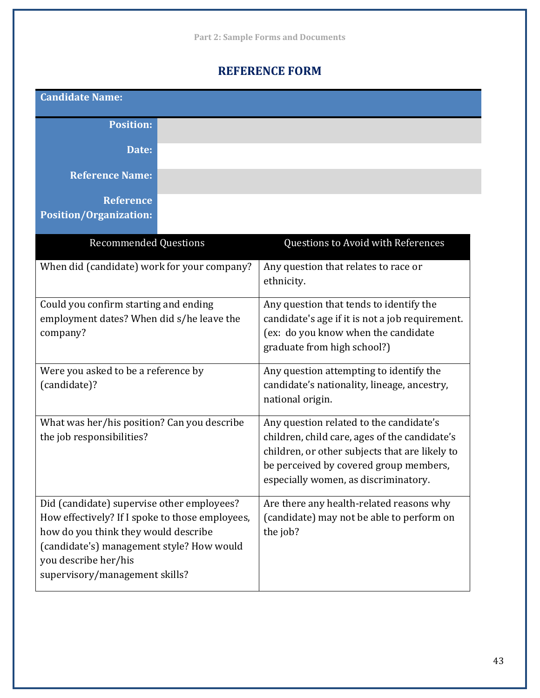# **REFERENCE FORM**

**Candidate Name:**

**Position:**

**Date:**

**Reference Name:**

**Reference**

**Position/Organization:**

| <b>Recommended Questions</b>                                                                                                                                                                                                                 | Questions to Avoid with References                                                                                                                                                                                           |
|----------------------------------------------------------------------------------------------------------------------------------------------------------------------------------------------------------------------------------------------|------------------------------------------------------------------------------------------------------------------------------------------------------------------------------------------------------------------------------|
| When did (candidate) work for your company?                                                                                                                                                                                                  | Any question that relates to race or<br>ethnicity.                                                                                                                                                                           |
| Could you confirm starting and ending<br>employment dates? When did s/he leave the<br>company?                                                                                                                                               | Any question that tends to identify the<br>candidate's age if it is not a job requirement.<br>(ex: do you know when the candidate<br>graduate from high school?)                                                             |
| Were you asked to be a reference by<br>(candidate)?                                                                                                                                                                                          | Any question attempting to identify the<br>candidate's nationality, lineage, ancestry,<br>national origin.                                                                                                                   |
| What was her/his position? Can you describe<br>the job responsibilities?                                                                                                                                                                     | Any question related to the candidate's<br>children, child care, ages of the candidate's<br>children, or other subjects that are likely to<br>be perceived by covered group members,<br>especially women, as discriminatory. |
| Did (candidate) supervise other employees?<br>How effectively? If I spoke to those employees,<br>how do you think they would describe<br>(candidate's) management style? How would<br>you describe her/his<br>supervisory/management skills? | Are there any health-related reasons why<br>(candidate) may not be able to perform on<br>the job?                                                                                                                            |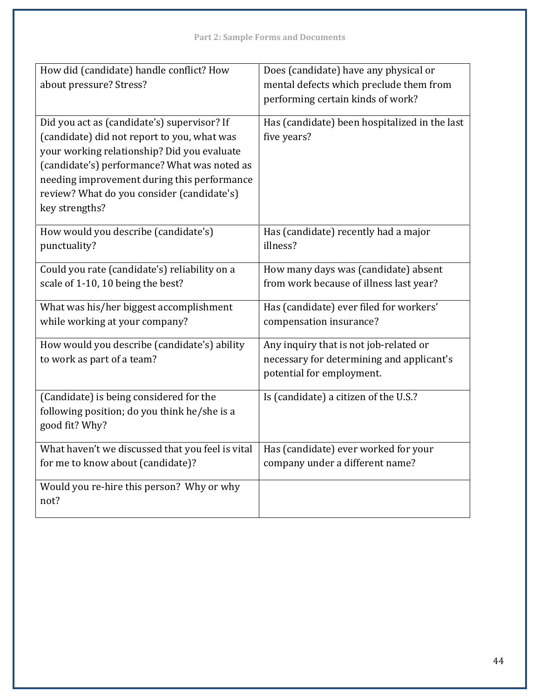| How did (candidate) handle conflict? How<br>about pressure? Stress?                                                                                                                                                                                                                                      | Does (candidate) have any physical or<br>mental defects which preclude them from<br>performing certain kinds of work? |
|----------------------------------------------------------------------------------------------------------------------------------------------------------------------------------------------------------------------------------------------------------------------------------------------------------|-----------------------------------------------------------------------------------------------------------------------|
| Did you act as (candidate's) supervisor? If<br>(candidate) did not report to you, what was<br>your working relationship? Did you evaluate<br>(candidate's) performance? What was noted as<br>needing improvement during this performance<br>review? What do you consider (candidate's)<br>key strengths? | Has (candidate) been hospitalized in the last<br>five years?                                                          |
| How would you describe (candidate's)<br>punctuality?                                                                                                                                                                                                                                                     | Has (candidate) recently had a major<br>illness?                                                                      |
| Could you rate (candidate's) reliability on a<br>scale of 1-10, 10 being the best?                                                                                                                                                                                                                       | How many days was (candidate) absent<br>from work because of illness last year?                                       |
| What was his/her biggest accomplishment<br>while working at your company?                                                                                                                                                                                                                                | Has (candidate) ever filed for workers'<br>compensation insurance?                                                    |
| How would you describe (candidate's) ability<br>to work as part of a team?                                                                                                                                                                                                                               | Any inquiry that is not job-related or<br>necessary for determining and applicant's<br>potential for employment.      |
| (Candidate) is being considered for the<br>following position; do you think he/she is a<br>good fit? Why?                                                                                                                                                                                                | Is (candidate) a citizen of the U.S.?                                                                                 |
| What haven't we discussed that you feel is vital<br>for me to know about (candidate)?                                                                                                                                                                                                                    | Has (candidate) ever worked for your<br>company under a different name?                                               |
| Would you re-hire this person? Why or why<br>not?                                                                                                                                                                                                                                                        |                                                                                                                       |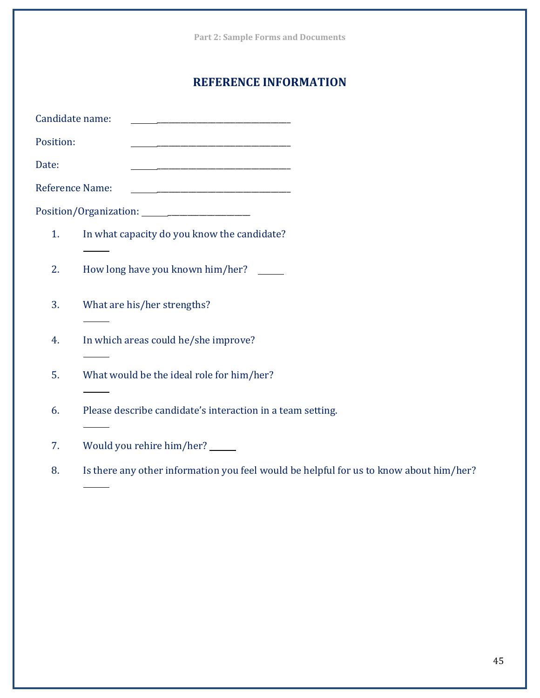|                 | <b>Part 2: Sample Forms and Documents</b>                                                                              |
|-----------------|------------------------------------------------------------------------------------------------------------------------|
|                 | <b>REFERENCE INFORMATION</b>                                                                                           |
| Candidate name: |                                                                                                                        |
| Position:       | <u> 1989 - Johann Barn, mars ann an t-Amhainn an t-Amhainn an t-Amhainn an t-Amhainn an t-Amhainn an t-Amhainn an </u> |
| Date:           |                                                                                                                        |
| Reference Name: |                                                                                                                        |
|                 | Position/Organization:                                                                                                 |
| 1.              | In what capacity do you know the candidate?                                                                            |
| 2.              | How long have you known him/her?                                                                                       |
| 3.              | What are his/her strengths?                                                                                            |
| 4.              | In which areas could he/she improve?                                                                                   |
| 5.              | What would be the ideal role for him/her?                                                                              |
| 6.              | Please describe candidate's interaction in a team setting.                                                             |
| 7.              | Would you rehire him/her? _____                                                                                        |
| 8.              | Is there any other information you feel would be helpful for us to know about him/her?                                 |
|                 |                                                                                                                        |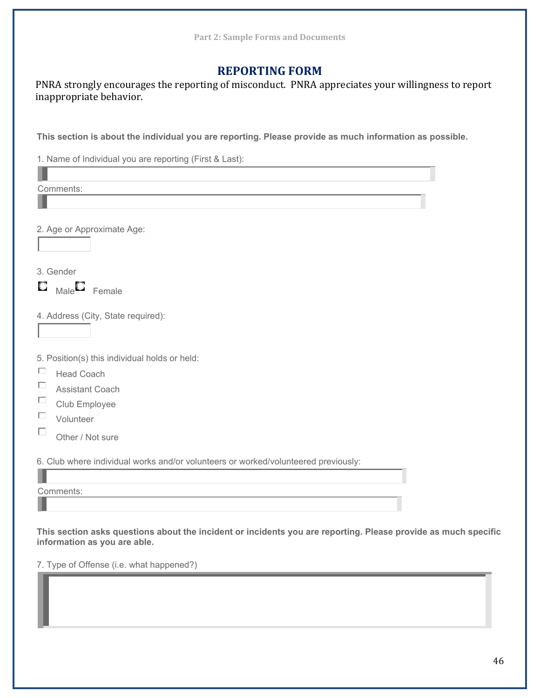# **REPORTING FORM**

PNRA strongly encourages the reporting of misconduct. PNRA appreciates your willingness to report inappropriate behavior.

**This section is about the individual you are reporting. Please provide as much information as possible.** 

1. Name of Individual you are reporting (First & Last):

| Comments:                                                                                                                                      |  |
|------------------------------------------------------------------------------------------------------------------------------------------------|--|
|                                                                                                                                                |  |
|                                                                                                                                                |  |
| 2. Age or Approximate Age:                                                                                                                     |  |
|                                                                                                                                                |  |
| 3. Gender                                                                                                                                      |  |
| $\Box$ $_{\text{Male}}\Box$ Female                                                                                                             |  |
| 4. Address (City, State required):                                                                                                             |  |
|                                                                                                                                                |  |
| 5. Position(s) this individual holds or held:                                                                                                  |  |
| $\Box$<br><b>Head Coach</b>                                                                                                                    |  |
| □<br><b>Assistant Coach</b>                                                                                                                    |  |
| $\Box$<br>Club Employee                                                                                                                        |  |
| $\Box$<br>Volunteer                                                                                                                            |  |
| П<br>Other / Not sure                                                                                                                          |  |
| 6. Club where individual works and/or volunteers or worked/volunteered previously:                                                             |  |
|                                                                                                                                                |  |
| Comments:                                                                                                                                      |  |
|                                                                                                                                                |  |
| This section asks questions about the incident or incidents you are reporting. Please provide as much specific<br>information as you are able. |  |
| 7. Type of Offense (i.e. what happened?)                                                                                                       |  |
|                                                                                                                                                |  |

π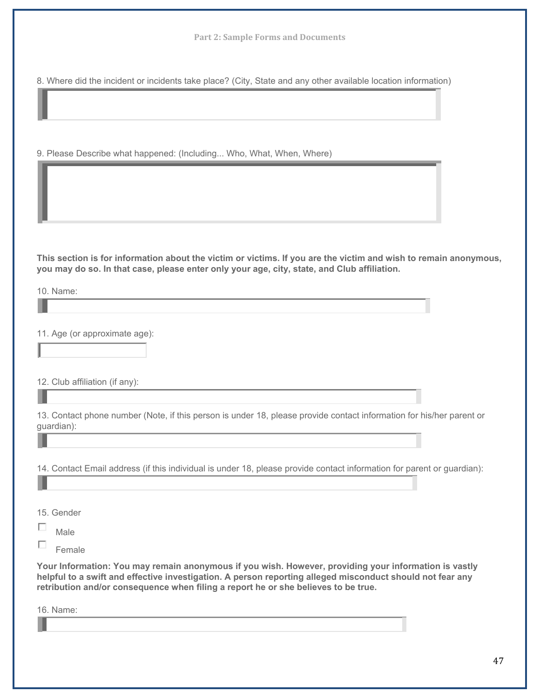**Part 2: Sample Forms and Documents**

8. Where did the incident or incidents take place? (City, State and any other available location information)

9. Please Describe what happened: (Including... Who, What, When, Where)

**This section is for information about the victim or victims. If you are the victim and wish to remain anonymous, you may do so. In that case, please enter only your age, city, state, and Club affiliation.** 

10. Name:

ı

11. Age (or approximate age):

12. Club affiliation (if any):

|            |  |  | 13. Contact phone number (Note, if this person is under 18, please provide contact information for his/her parent or |  |  |
|------------|--|--|----------------------------------------------------------------------------------------------------------------------|--|--|
| guardian): |  |  |                                                                                                                      |  |  |

14. Contact Email address (if this individual is under 18, please provide contact information for parent or guardian):

15. Gender

П Male

 $\Box$ Female

**Your Information: You may remain anonymous if you wish. However, providing your information is vastly helpful to a swift and effective investigation. A person reporting alleged misconduct should not fear any retribution and/or consequence when filing a report he or she believes to be true.** 

16. Name: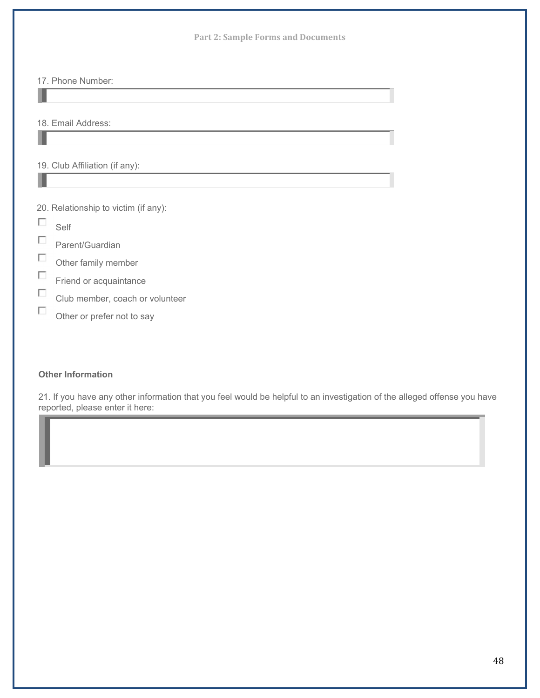|                                    | <b>Part 2: Sample Forms and Documents</b>                       |
|------------------------------------|-----------------------------------------------------------------|
|                                    | 17. Phone Number:                                               |
|                                    | 18. Email Address:                                              |
|                                    | 19. Club Affiliation (if any):                                  |
| $\overline{\phantom{a}}$<br>$\Box$ | 20. Relationship to victim (if any):<br>Self<br>Parent/Guardian |
| П<br>П                             | Other family member<br>Friend or acquaintance                   |
| П<br>$\Box$                        | Club member, coach or volunteer<br>Other or prefer not to say   |

#### **Other Information**

21. If you have any other information that you feel would be helpful to an investigation of the alleged offense you have reported, please enter it here: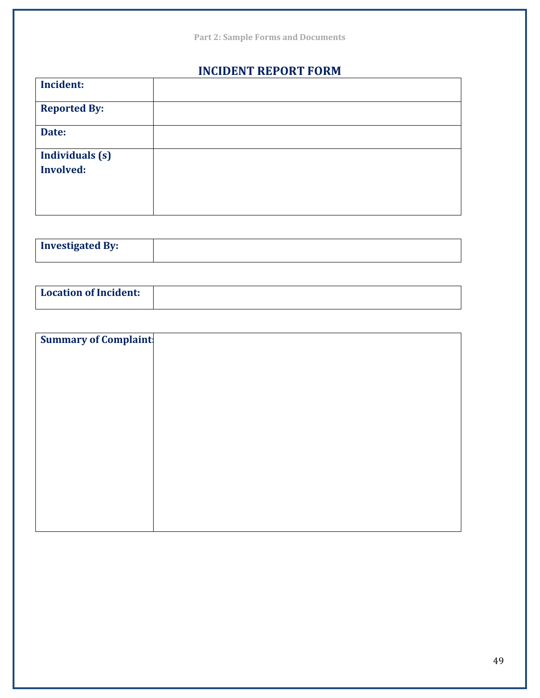|                        | <b>Part 2: Sample Forms and Documents</b> |
|------------------------|-------------------------------------------|
|                        | <b>INCIDENT REPORT FORM</b>               |
| <b>Incident:</b>       |                                           |
| <b>Reported By:</b>    |                                           |
| Date:                  |                                           |
| <b>Individuals</b> (s) |                                           |
| <b>Involved:</b>       |                                           |
|                        |                                           |
|                        |                                           |
|                        |                                           |

| <b>Investigated By:</b> |  |
|-------------------------|--|
|                         |  |

| <b>Location of Incident:</b> |  |
|------------------------------|--|
|                              |  |

| <b>Summary of Complaint:</b> |  |
|------------------------------|--|
|                              |  |
|                              |  |
|                              |  |
|                              |  |
|                              |  |
|                              |  |
|                              |  |
|                              |  |
|                              |  |
|                              |  |
|                              |  |